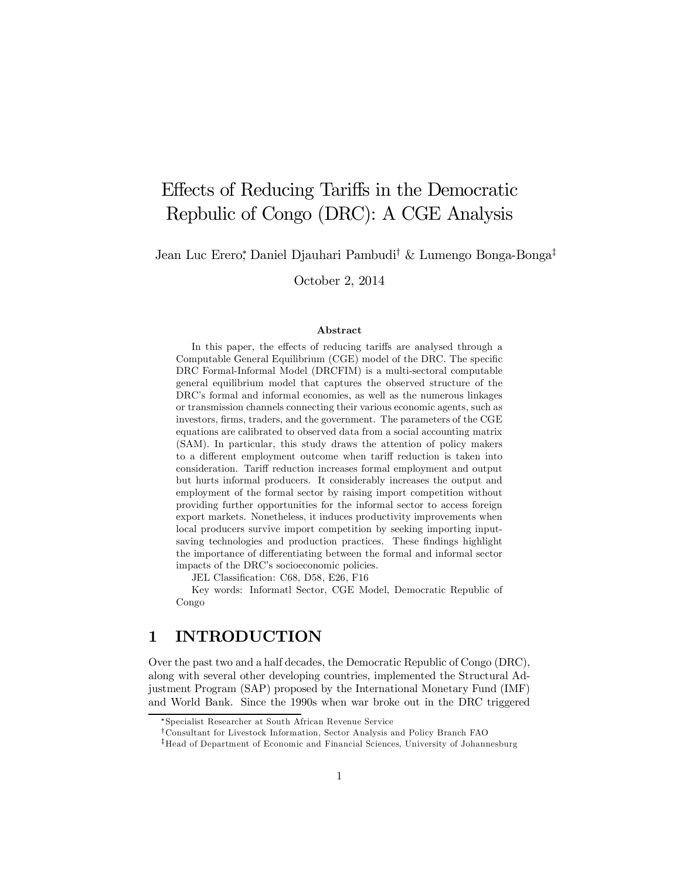# Effects of Reducing Tariffs in the Democratic Repbulic of Congo (DRC): A CGE Analysis

Jean Luc Erero,\* Daniel Djauhari Pambudi<sup>†</sup> & Lumengo Bonga-Bonga<sup>‡</sup>

October 2, 2014

#### Abstract

In this paper, the effects of reducing tariffs are analysed through a Computable General Equilibrium (CGE) model of the DRC. The specific DRC Formal-Informal Model (DRCFIM) is a multi-sectoral computable general equilibrium model that captures the observed structure of the DRC's formal and informal economies, as well as the numerous linkages or transmission channels connecting their various economic agents, such as investors, firms, traders, and the government. The parameters of the CGE equations are calibrated to observed data from a social accounting matrix (SAM). In particular, this study draws the attention of policy makers to a different employment outcome when tariff reduction is taken into consideration. Tariff reduction increases formal employment and output but hurts informal producers. It considerably increases the output and employment of the formal sector by raising import competition without providing further opportunities for the informal sector to access foreign export markets. Nonetheless, it induces productivity improvements when local producers survive import competition by seeking importing inputsaving technologies and production practices. These findings highlight the importance of differentiating between the formal and informal sector impacts of the DRC's socioeconomic policies.

JEL Classification: C68, D58, E26, F16

Key words: Informatl Sector, CGE Model, Democratic Republic of Congo

# 1 INTRODUCTION

Over the past two and a half decades, the Democratic Republic of Congo (DRC), along with several other developing countries, implemented the Structural Adjustment Program (SAP) proposed by the International Monetary Fund (IMF) and World Bank. Since the 1990s when war broke out in the DRC triggered

<sup>¤</sup>Specialist Researcher at South African Revenue Service

<sup>&</sup>lt;sup>†</sup>Consultant for Livestock Information, Sector Analysis and Policy Branch FAO

<sup>&</sup>lt;sup>‡</sup>Head of Department of Economic and Financial Sciences, University of Johannesburg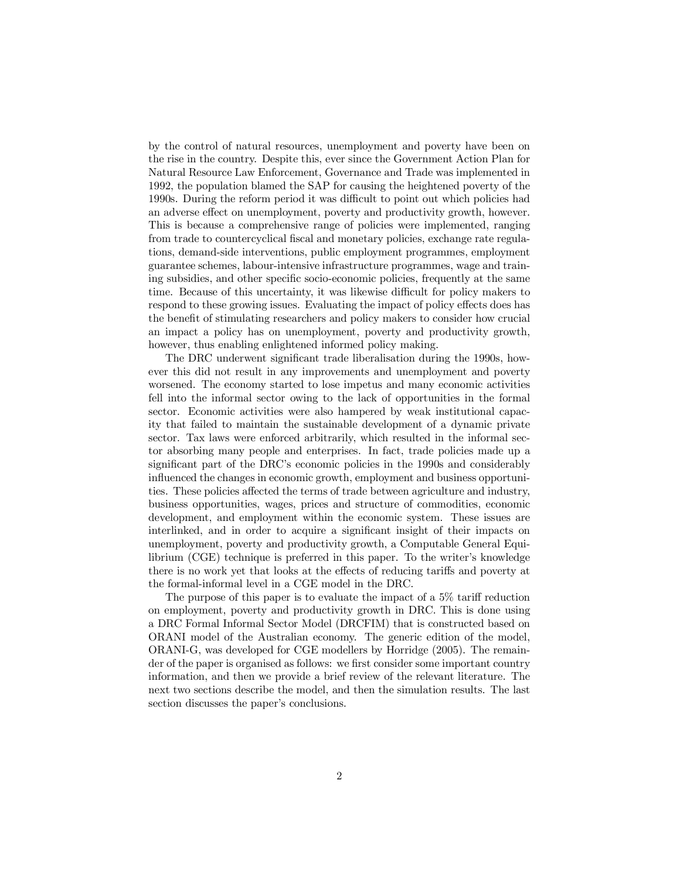by the control of natural resources, unemployment and poverty have been on the rise in the country. Despite this, ever since the Government Action Plan for Natural Resource Law Enforcement, Governance and Trade was implemented in 1992, the population blamed the SAP for causing the heightened poverty of the 1990s. During the reform period it was difficult to point out which policies had an adverse effect on unemployment, poverty and productivity growth, however. This is because a comprehensive range of policies were implemented, ranging from trade to countercyclical fiscal and monetary policies, exchange rate regulations, demand-side interventions, public employment programmes, employment guarantee schemes, labour-intensive infrastructure programmes, wage and training subsidies, and other specific socio-economic policies, frequently at the same time. Because of this uncertainty, it was likewise difficult for policy makers to respond to these growing issues. Evaluating the impact of policy effects does has the benefit of stimulating researchers and policy makers to consider how crucial an impact a policy has on unemployment, poverty and productivity growth, however, thus enabling enlightened informed policy making.

The DRC underwent significant trade liberalisation during the 1990s, however this did not result in any improvements and unemployment and poverty worsened. The economy started to lose impetus and many economic activities fell into the informal sector owing to the lack of opportunities in the formal sector. Economic activities were also hampered by weak institutional capacity that failed to maintain the sustainable development of a dynamic private sector. Tax laws were enforced arbitrarily, which resulted in the informal sector absorbing many people and enterprises. In fact, trade policies made up a significant part of the DRC's economic policies in the 1990s and considerably influenced the changes in economic growth, employment and business opportunities. These policies affected the terms of trade between agriculture and industry, business opportunities, wages, prices and structure of commodities, economic development, and employment within the economic system. These issues are interlinked, and in order to acquire a significant insight of their impacts on unemployment, poverty and productivity growth, a Computable General Equilibrium (CGE) technique is preferred in this paper. To the writer's knowledge there is no work yet that looks at the effects of reducing tariffs and poverty at the formal-informal level in a CGE model in the DRC.

The purpose of this paper is to evaluate the impact of a  $5\%$  tariff reduction on employment, poverty and productivity growth in DRC. This is done using a DRC Formal Informal Sector Model (DRCFIM) that is constructed based on ORANI model of the Australian economy. The generic edition of the model, ORANI-G, was developed for CGE modellers by Horridge (2005). The remainder of the paper is organised as follows: we first consider some important country information, and then we provide a brief review of the relevant literature. The next two sections describe the model, and then the simulation results. The last section discusses the paper's conclusions.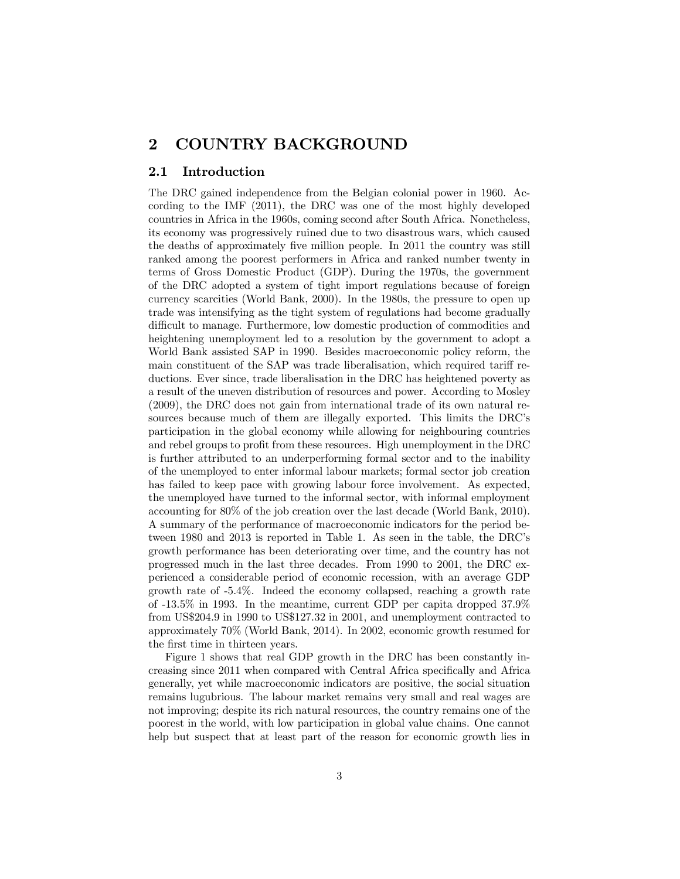# 2 COUNTRY BACKGROUND

#### 2.1 Introduction

The DRC gained independence from the Belgian colonial power in 1960. According to the IMF (2011), the DRC was one of the most highly developed countries in Africa in the 1960s, coming second after South Africa. Nonetheless, its economy was progressively ruined due to two disastrous wars, which caused the deaths of approximately five million people. In 2011 the country was still ranked among the poorest performers in Africa and ranked number twenty in terms of Gross Domestic Product (GDP). During the 1970s, the government of the DRC adopted a system of tight import regulations because of foreign currency scarcities (World Bank, 2000). In the 1980s, the pressure to open up trade was intensifying as the tight system of regulations had become gradually difficult to manage. Furthermore, low domestic production of commodities and heightening unemployment led to a resolution by the government to adopt a World Bank assisted SAP in 1990. Besides macroeconomic policy reform, the main constituent of the SAP was trade liberalisation, which required tariff reductions. Ever since, trade liberalisation in the DRC has heightened poverty as a result of the uneven distribution of resources and power. According to Mosley (2009), the DRC does not gain from international trade of its own natural resources because much of them are illegally exported. This limits the DRC's participation in the global economy while allowing for neighbouring countries and rebel groups to profit from these resources. High unemployment in the DRC is further attributed to an underperforming formal sector and to the inability of the unemployed to enter informal labour markets; formal sector job creation has failed to keep pace with growing labour force involvement. As expected, the unemployed have turned to the informal sector, with informal employment accounting for 80% of the job creation over the last decade (World Bank, 2010). A summary of the performance of macroeconomic indicators for the period between 1980 and 2013 is reported in Table 1. As seen in the table, the DRC's growth performance has been deteriorating over time, and the country has not progressed much in the last three decades. From 1990 to 2001, the DRC experienced a considerable period of economic recession, with an average GDP growth rate of -5.4%. Indeed the economy collapsed, reaching a growth rate of -13.5% in 1993. In the meantime, current GDP per capita dropped 37.9% from US\$204.9 in 1990 to US\$127.32 in 2001, and unemployment contracted to approximately 70% (World Bank, 2014). In 2002, economic growth resumed for the first time in thirteen years.

Figure 1 shows that real GDP growth in the DRC has been constantly increasing since 2011 when compared with Central Africa specifically and Africa generally, yet while macroeconomic indicators are positive, the social situation remains lugubrious. The labour market remains very small and real wages are not improving; despite its rich natural resources, the country remains one of the poorest in the world, with low participation in global value chains. One cannot help but suspect that at least part of the reason for economic growth lies in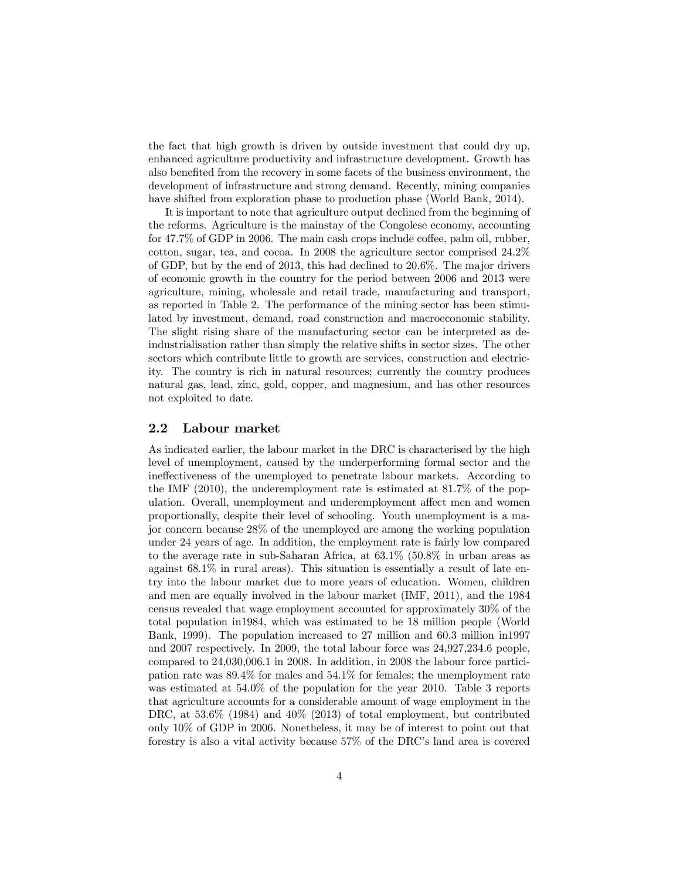the fact that high growth is driven by outside investment that could dry up, enhanced agriculture productivity and infrastructure development. Growth has also benefited from the recovery in some facets of the business environment, the development of infrastructure and strong demand. Recently, mining companies have shifted from exploration phase to production phase (World Bank, 2014).

It is important to note that agriculture output declined from the beginning of the reforms. Agriculture is the mainstay of the Congolese economy, accounting for  $47.7\%$  of GDP in 2006. The main cash crops include coffee, palm oil, rubber, cotton, sugar, tea, and cocoa. In 2008 the agriculture sector comprised 24.2% of GDP, but by the end of 2013, this had declined to 20.6%. The major drivers of economic growth in the country for the period between 2006 and 2013 were agriculture, mining, wholesale and retail trade, manufacturing and transport, as reported in Table 2. The performance of the mining sector has been stimulated by investment, demand, road construction and macroeconomic stability. The slight rising share of the manufacturing sector can be interpreted as deindustrialisation rather than simply the relative shifts in sector sizes. The other sectors which contribute little to growth are services, construction and electricity. The country is rich in natural resources; currently the country produces natural gas, lead, zinc, gold, copper, and magnesium, and has other resources not exploited to date.

### 2.2 Labour market

As indicated earlier, the labour market in the DRC is characterised by the high level of unemployment, caused by the underperforming formal sector and the ineffectiveness of the unemployed to penetrate labour markets. According to the IMF (2010), the underemployment rate is estimated at 81.7% of the population. Overall, unemployment and underemployment affect men and women proportionally, despite their level of schooling. Youth unemployment is a major concern because 28% of the unemployed are among the working population under 24 years of age. In addition, the employment rate is fairly low compared to the average rate in sub-Saharan Africa, at 63.1% (50.8% in urban areas as against 68.1% in rural areas). This situation is essentially a result of late entry into the labour market due to more years of education. Women, children and men are equally involved in the labour market (IMF, 2011), and the 1984 census revealed that wage employment accounted for approximately 30% of the total population in1984, which was estimated to be 18 million people (World Bank, 1999). The population increased to 27 million and 60.3 million in1997 and 2007 respectively. In 2009, the total labour force was 24,927,234.6 people, compared to 24,030,006.1 in 2008. In addition, in 2008 the labour force participation rate was 89.4% for males and 54.1% for females; the unemployment rate was estimated at 54.0% of the population for the year 2010. Table 3 reports that agriculture accounts for a considerable amount of wage employment in the DRC, at  $53.6\%$  (1984) and  $40\%$  (2013) of total employment, but contributed only 10% of GDP in 2006. Nonetheless, it may be of interest to point out that forestry is also a vital activity because 57% of the DRC's land area is covered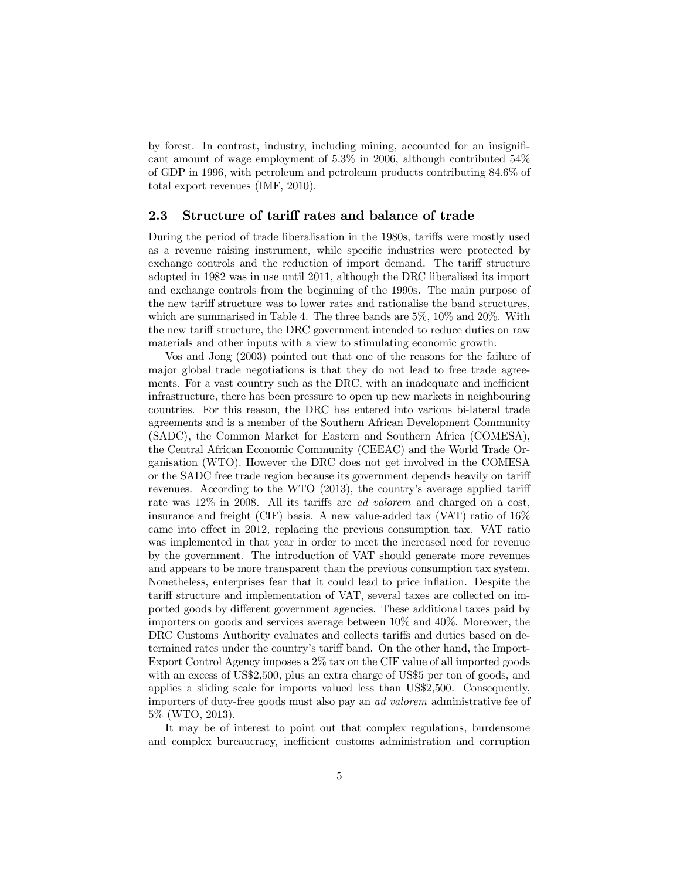by forest. In contrast, industry, including mining, accounted for an insignificant amount of wage employment of 5.3% in 2006, although contributed 54% of GDP in 1996, with petroleum and petroleum products contributing 84.6% of total export revenues (IMF, 2010).

### 2.3 Structure of tariff rates and balance of trade

During the period of trade liberalisation in the 1980s, tariffs were mostly used as a revenue raising instrument, while specific industries were protected by exchange controls and the reduction of import demand. The tariff structure adopted in 1982 was in use until 2011, although the DRC liberalised its import and exchange controls from the beginning of the 1990s. The main purpose of the new tariff structure was to lower rates and rationalise the band structures, which are summarised in Table 4. The three bands are 5%, 10% and 20%. With the new tariff structure, the DRC government intended to reduce duties on raw materials and other inputs with a view to stimulating economic growth.

Vos and Jong (2003) pointed out that one of the reasons for the failure of major global trade negotiations is that they do not lead to free trade agreements. For a vast country such as the DRC, with an inadequate and inefficient infrastructure, there has been pressure to open up new markets in neighbouring countries. For this reason, the DRC has entered into various bi-lateral trade agreements and is a member of the Southern African Development Community (SADC), the Common Market for Eastern and Southern Africa (COMESA), the Central African Economic Community (CEEAC) and the World Trade Organisation (WTO). However the DRC does not get involved in the COMESA or the SADC free trade region because its government depends heavily on tariff revenues. According to the WTO  $(2013)$ , the country's average applied tariff rate was  $12\%$  in 2008. All its tariffs are *ad valorem* and charged on a cost, insurance and freight (CIF) basis. A new value-added tax (VAT) ratio of  $16\%$ came into effect in 2012, replacing the previous consumption tax. VAT ratio was implemented in that year in order to meet the increased need for revenue by the government. The introduction of VAT should generate more revenues and appears to be more transparent than the previous consumption tax system. Nonetheless, enterprises fear that it could lead to price in‡ation. Despite the tariff structure and implementation of VAT, several taxes are collected on imported goods by different government agencies. These additional taxes paid by importers on goods and services average between 10% and 40%. Moreover, the DRC Customs Authority evaluates and collects tariffs and duties based on determined rates under the country's tariff band. On the other hand, the Import-Export Control Agency imposes a 2% tax on the CIF value of all imported goods with an excess of US\$2,500, plus an extra charge of US\$5 per ton of goods, and applies a sliding scale for imports valued less than US\$2,500. Consequently, importers of duty-free goods must also pay an *ad valorem* administrative fee of 5% (WTO, 2013).

It may be of interest to point out that complex regulations, burdensome and complex bureaucracy, inefficient customs administration and corruption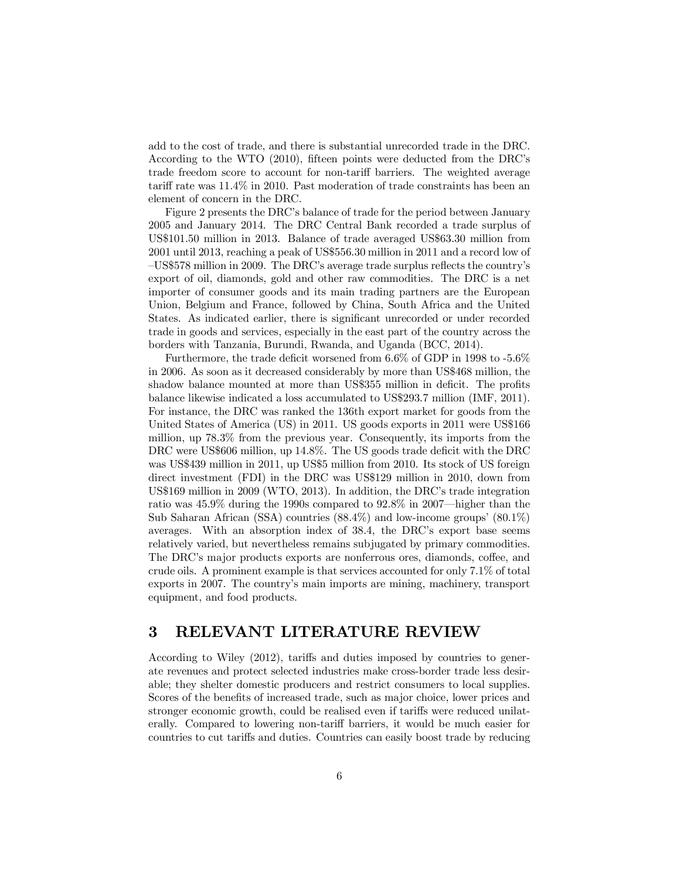add to the cost of trade, and there is substantial unrecorded trade in the DRC. According to the WTO (2010), fifteen points were deducted from the DRC's trade freedom score to account for non-tariff barriers. The weighted average tariff rate was  $11.4\%$  in 2010. Past moderation of trade constraints has been an element of concern in the DRC.

Figure 2 presents the DRC's balance of trade for the period between January 2005 and January 2014. The DRC Central Bank recorded a trade surplus of US\$101.50 million in 2013. Balance of trade averaged US\$63.30 million from 2001 until 2013, reaching a peak of US\$556.30 million in 2011 and a record low of  $-VS$578 million in 2009. The DRC's average trade surplus reflects the country's$ export of oil, diamonds, gold and other raw commodities. The DRC is a net importer of consumer goods and its main trading partners are the European Union, Belgium and France, followed by China, South Africa and the United States. As indicated earlier, there is significant unrecorded or under recorded trade in goods and services, especially in the east part of the country across the borders with Tanzania, Burundi, Rwanda, and Uganda (BCC, 2014).

Furthermore, the trade deficit worsened from  $6.6\%$  of GDP in 1998 to  $-5.6\%$ in 2006. As soon as it decreased considerably by more than US\$468 million, the shadow balance mounted at more than US\$355 million in deficit. The profits balance likewise indicated a loss accumulated to US\$293.7 million (IMF, 2011). For instance, the DRC was ranked the 136th export market for goods from the United States of America (US) in 2011. US goods exports in 2011 were US\$166 million, up 78.3% from the previous year. Consequently, its imports from the DRC were US\$606 million, up 14.8%. The US goods trade deficit with the DRC was US\$439 million in 2011, up US\$5 million from 2010. Its stock of US foreign direct investment (FDI) in the DRC was US\$129 million in 2010, down from US\$169 million in 2009 (WTO, 2013). In addition, the DRC's trade integration ratio was 45.9% during the 1990s compared to 92.8% in 2007—higher than the Sub Saharan African (SSA) countries (88.4%) and low-income groups' (80.1%) averages. With an absorption index of 38.4, the DRC's export base seems relatively varied, but nevertheless remains subjugated by primary commodities. The DRC's major products exports are nonferrous ores, diamonds, coffee, and crude oils. A prominent example is that services accounted for only 7.1% of total exports in 2007. The country's main imports are mining, machinery, transport equipment, and food products.

# 3 RELEVANT LITERATURE REVIEW

According to Wiley (2012), tariffs and duties imposed by countries to generate revenues and protect selected industries make cross-border trade less desirable; they shelter domestic producers and restrict consumers to local supplies. Scores of the benefits of increased trade, such as major choice, lower prices and stronger economic growth, could be realised even if tariffs were reduced unilaterally. Compared to lowering non-tariff barriers, it would be much easier for countries to cut tariffs and duties. Countries can easily boost trade by reducing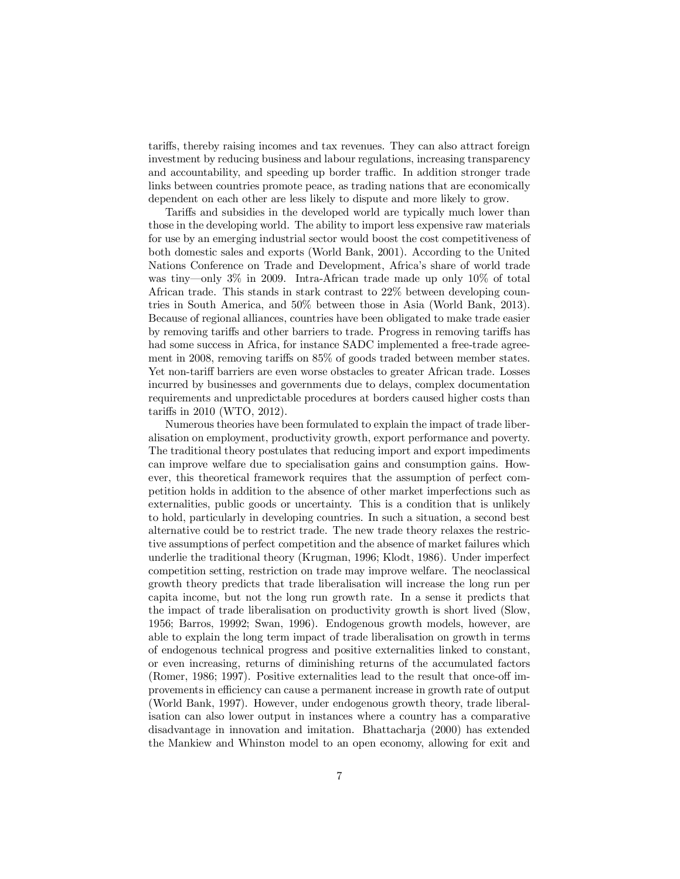tariffs, thereby raising incomes and tax revenues. They can also attract foreign investment by reducing business and labour regulations, increasing transparency and accountability, and speeding up border traffic. In addition stronger trade links between countries promote peace, as trading nations that are economically dependent on each other are less likely to dispute and more likely to grow.

Tariffs and subsidies in the developed world are typically much lower than those in the developing world. The ability to import less expensive raw materials for use by an emerging industrial sector would boost the cost competitiveness of both domestic sales and exports (World Bank, 2001). According to the United Nations Conference on Trade and Development, Africa's share of world trade was tiny—only 3% in 2009. Intra-African trade made up only 10% of total African trade. This stands in stark contrast to 22% between developing countries in South America, and 50% between those in Asia (World Bank, 2013). Because of regional alliances, countries have been obligated to make trade easier by removing tariffs and other barriers to trade. Progress in removing tariffs has had some success in Africa, for instance SADC implemented a free-trade agreement in 2008, removing tariffs on  $85\%$  of goods traded between member states. Yet non-tariff barriers are even worse obstacles to greater African trade. Losses incurred by businesses and governments due to delays, complex documentation requirements and unpredictable procedures at borders caused higher costs than tariffs in  $2010$  (WTO,  $2012$ ).

Numerous theories have been formulated to explain the impact of trade liberalisation on employment, productivity growth, export performance and poverty. The traditional theory postulates that reducing import and export impediments can improve welfare due to specialisation gains and consumption gains. However, this theoretical framework requires that the assumption of perfect competition holds in addition to the absence of other market imperfections such as externalities, public goods or uncertainty. This is a condition that is unlikely to hold, particularly in developing countries. In such a situation, a second best alternative could be to restrict trade. The new trade theory relaxes the restrictive assumptions of perfect competition and the absence of market failures which underlie the traditional theory (Krugman, 1996; Klodt, 1986). Under imperfect competition setting, restriction on trade may improve welfare. The neoclassical growth theory predicts that trade liberalisation will increase the long run per capita income, but not the long run growth rate. In a sense it predicts that the impact of trade liberalisation on productivity growth is short lived (Slow, 1956; Barros, 19992; Swan, 1996). Endogenous growth models, however, are able to explain the long term impact of trade liberalisation on growth in terms of endogenous technical progress and positive externalities linked to constant, or even increasing, returns of diminishing returns of the accumulated factors (Romer,  $1986: 1997$ ). Positive externalities lead to the result that once-off improvements in efficiency can cause a permanent increase in growth rate of output (World Bank, 1997). However, under endogenous growth theory, trade liberalisation can also lower output in instances where a country has a comparative disadvantage in innovation and imitation. Bhattacharja (2000) has extended the Mankiew and Whinston model to an open economy, allowing for exit and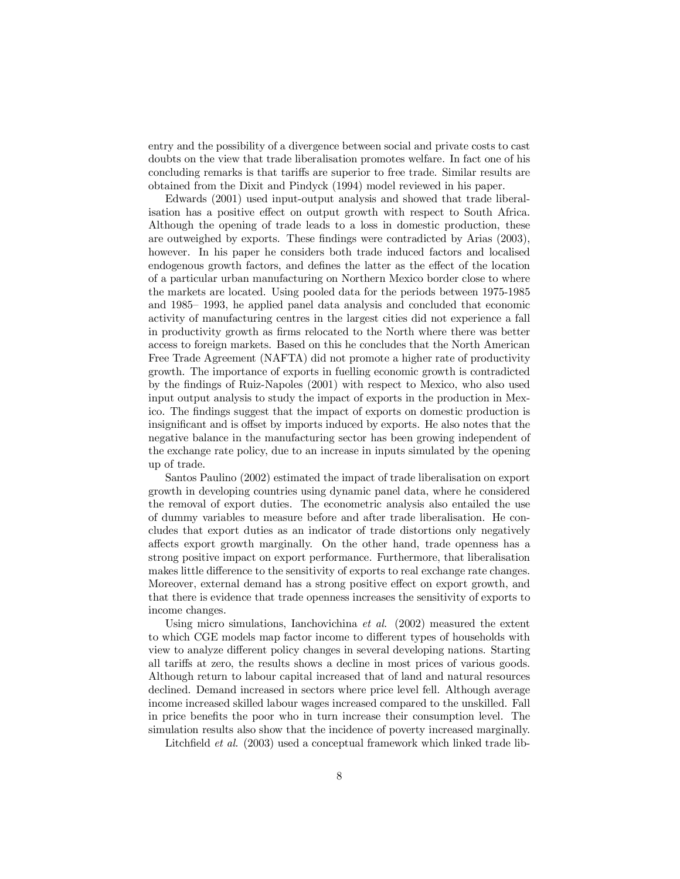entry and the possibility of a divergence between social and private costs to cast doubts on the view that trade liberalisation promotes welfare. In fact one of his concluding remarks is that tariffs are superior to free trade. Similar results are obtained from the Dixit and Pindyck (1994) model reviewed in his paper.

Edwards (2001) used input-output analysis and showed that trade liberalisation has a positive effect on output growth with respect to South Africa. Although the opening of trade leads to a loss in domestic production, these are outweighed by exports. These findings were contradicted by Arias  $(2003)$ , however. In his paper he considers both trade induced factors and localised endogenous growth factors, and defines the latter as the effect of the location of a particular urban manufacturing on Northern Mexico border close to where the markets are located. Using pooled data for the periods between 1975-1985 and 1985– 1993, he applied panel data analysis and concluded that economic activity of manufacturing centres in the largest cities did not experience a fall in productivity growth as firms relocated to the North where there was better access to foreign markets. Based on this he concludes that the North American Free Trade Agreement (NAFTA) did not promote a higher rate of productivity growth. The importance of exports in fuelling economic growth is contradicted by the findings of Ruiz-Napoles (2001) with respect to Mexico, who also used input output analysis to study the impact of exports in the production in Mexico. The findings suggest that the impact of exports on domestic production is insignificant and is offset by imports induced by exports. He also notes that the negative balance in the manufacturing sector has been growing independent of the exchange rate policy, due to an increase in inputs simulated by the opening up of trade.

Santos Paulino (2002) estimated the impact of trade liberalisation on export growth in developing countries using dynamic panel data, where he considered the removal of export duties. The econometric analysis also entailed the use of dummy variables to measure before and after trade liberalisation. He concludes that export duties as an indicator of trade distortions only negatively affects export growth marginally. On the other hand, trade openness has a strong positive impact on export performance. Furthermore, that liberalisation makes little difference to the sensitivity of exports to real exchange rate changes. Moreover, external demand has a strong positive effect on export growth, and that there is evidence that trade openness increases the sensitivity of exports to income changes.

Using micro simulations, Ianchovichina *et al*. (2002) measured the extent to which CGE models map factor income to different types of households with view to analyze different policy changes in several developing nations. Starting all tariffs at zero, the results shows a decline in most prices of various goods. Although return to labour capital increased that of land and natural resources declined. Demand increased in sectors where price level fell. Although average income increased skilled labour wages increased compared to the unskilled. Fall in price benefits the poor who in turn increase their consumption level. The simulation results also show that the incidence of poverty increased marginally.

Litchfield *et al.* (2003) used a conceptual framework which linked trade lib-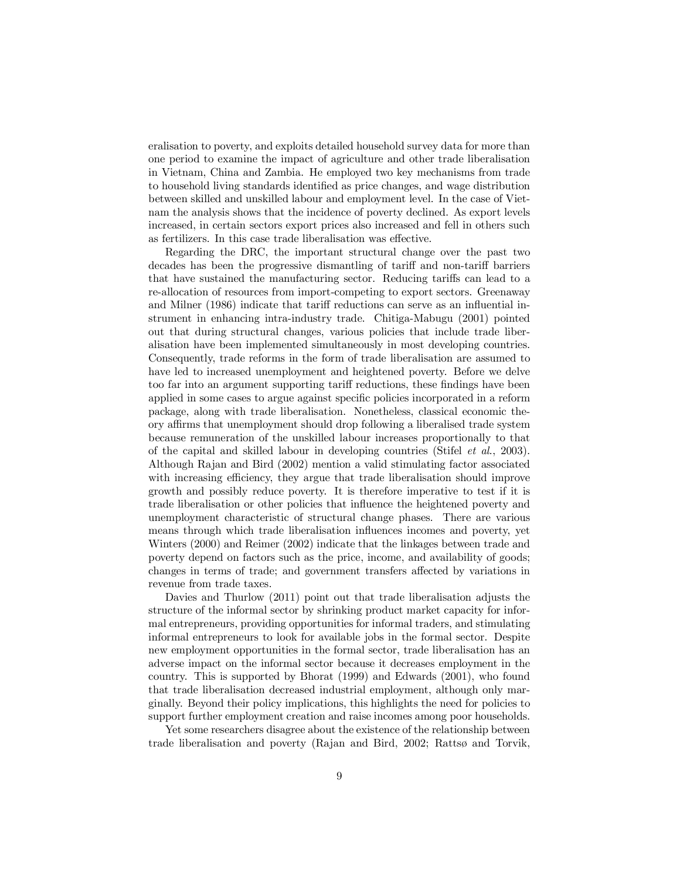eralisation to poverty, and exploits detailed household survey data for more than one period to examine the impact of agriculture and other trade liberalisation in Vietnam, China and Zambia. He employed two key mechanisms from trade to household living standards identified as price changes, and wage distribution between skilled and unskilled labour and employment level. In the case of Vietnam the analysis shows that the incidence of poverty declined. As export levels increased, in certain sectors export prices also increased and fell in others such as fertilizers. In this case trade liberalisation was effective.

Regarding the DRC, the important structural change over the past two decades has been the progressive dismantling of tariff and non-tariff barriers that have sustained the manufacturing sector. Reducing tariffs can lead to a re-allocation of resources from import-competing to export sectors. Greenaway and Milner (1986) indicate that tariff reductions can serve as an influential instrument in enhancing intra-industry trade. Chitiga-Mabugu (2001) pointed out that during structural changes, various policies that include trade liberalisation have been implemented simultaneously in most developing countries. Consequently, trade reforms in the form of trade liberalisation are assumed to have led to increased unemployment and heightened poverty. Before we delve too far into an argument supporting tariff reductions, these findings have been applied in some cases to argue against specific policies incorporated in a reform package, along with trade liberalisation. Nonetheless, classical economic theory affirms that unemployment should drop following a liberalised trade system because remuneration of the unskilled labour increases proportionally to that of the capital and skilled labour in developing countries (Stifel *et al*., 2003). Although Rajan and Bird (2002) mention a valid stimulating factor associated with increasing efficiency, they argue that trade liberalisation should improve growth and possibly reduce poverty. It is therefore imperative to test if it is trade liberalisation or other policies that influence the heightened poverty and unemployment characteristic of structural change phases. There are various means through which trade liberalisation influences incomes and poverty, yet Winters (2000) and Reimer (2002) indicate that the linkages between trade and poverty depend on factors such as the price, income, and availability of goods; changes in terms of trade; and government transfers a¤ected by variations in revenue from trade taxes.

Davies and Thurlow (2011) point out that trade liberalisation adjusts the structure of the informal sector by shrinking product market capacity for informal entrepreneurs, providing opportunities for informal traders, and stimulating informal entrepreneurs to look for available jobs in the formal sector. Despite new employment opportunities in the formal sector, trade liberalisation has an adverse impact on the informal sector because it decreases employment in the country. This is supported by Bhorat (1999) and Edwards (2001), who found that trade liberalisation decreased industrial employment, although only marginally. Beyond their policy implications, this highlights the need for policies to support further employment creation and raise incomes among poor households.

Yet some researchers disagree about the existence of the relationship between trade liberalisation and poverty (Rajan and Bird, 2002; Rattsø and Torvik,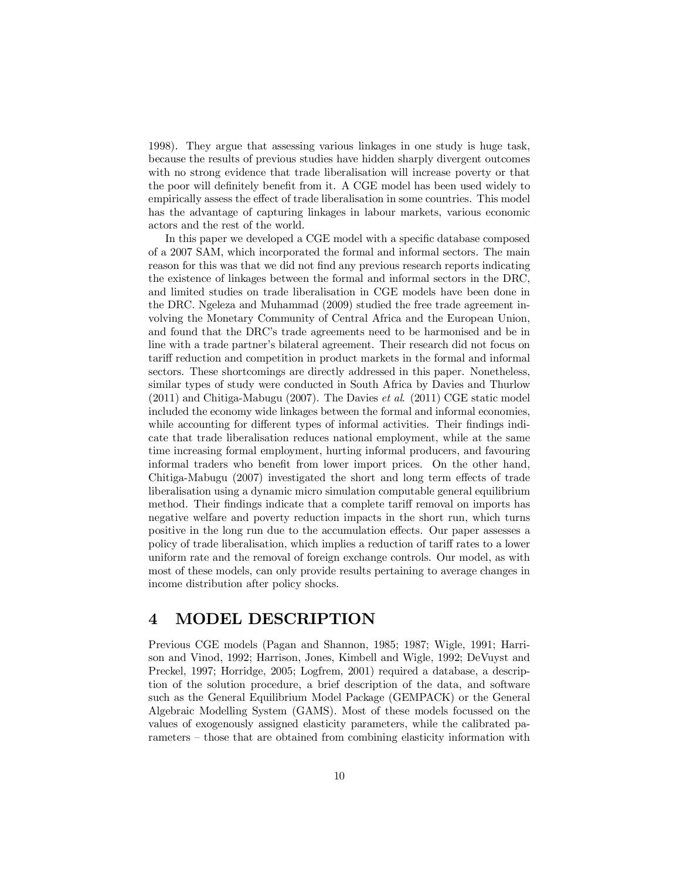1998). They argue that assessing various linkages in one study is huge task, because the results of previous studies have hidden sharply divergent outcomes with no strong evidence that trade liberalisation will increase poverty or that the poor will definitely benefit from it. A CGE model has been used widely to empirically assess the effect of trade liberalisation in some countries. This model has the advantage of capturing linkages in labour markets, various economic actors and the rest of the world.

In this paper we developed a CGE model with a specific database composed of a 2007 SAM, which incorporated the formal and informal sectors. The main reason for this was that we did not find any previous research reports indicating the existence of linkages between the formal and informal sectors in the DRC, and limited studies on trade liberalisation in CGE models have been done in the DRC. Ngeleza and Muhammad (2009) studied the free trade agreement involving the Monetary Community of Central Africa and the European Union, and found that the DRC's trade agreements need to be harmonised and be in line with a trade partner's bilateral agreement. Their research did not focus on tariff reduction and competition in product markets in the formal and informal sectors. These shortcomings are directly addressed in this paper. Nonetheless, similar types of study were conducted in South Africa by Davies and Thurlow (2011) and Chitiga-Mabugu (2007). The Davies *et al*. (2011) CGE static model included the economy wide linkages between the formal and informal economies, while accounting for different types of informal activities. Their findings indicate that trade liberalisation reduces national employment, while at the same time increasing formal employment, hurting informal producers, and favouring informal traders who benefit from lower import prices. On the other hand, Chitiga-Mabugu  $(2007)$  investigated the short and long term effects of trade liberalisation using a dynamic micro simulation computable general equilibrium method. Their findings indicate that a complete tariff removal on imports has negative welfare and poverty reduction impacts in the short run, which turns positive in the long run due to the accumulation e¤ects. Our paper assesses a policy of trade liberalisation, which implies a reduction of tariff rates to a lower uniform rate and the removal of foreign exchange controls. Our model, as with most of these models, can only provide results pertaining to average changes in income distribution after policy shocks.

# 4 MODEL DESCRIPTION

Previous CGE models (Pagan and Shannon, 1985; 1987; Wigle, 1991; Harrison and Vinod, 1992; Harrison, Jones, Kimbell and Wigle, 1992; DeVuyst and Preckel, 1997; Horridge, 2005; Logfrem, 2001) required a database, a description of the solution procedure, a brief description of the data, and software such as the General Equilibrium Model Package (GEMPACK) or the General Algebraic Modelling System (GAMS). Most of these models focussed on the values of exogenously assigned elasticity parameters, while the calibrated parameters – those that are obtained from combining elasticity information with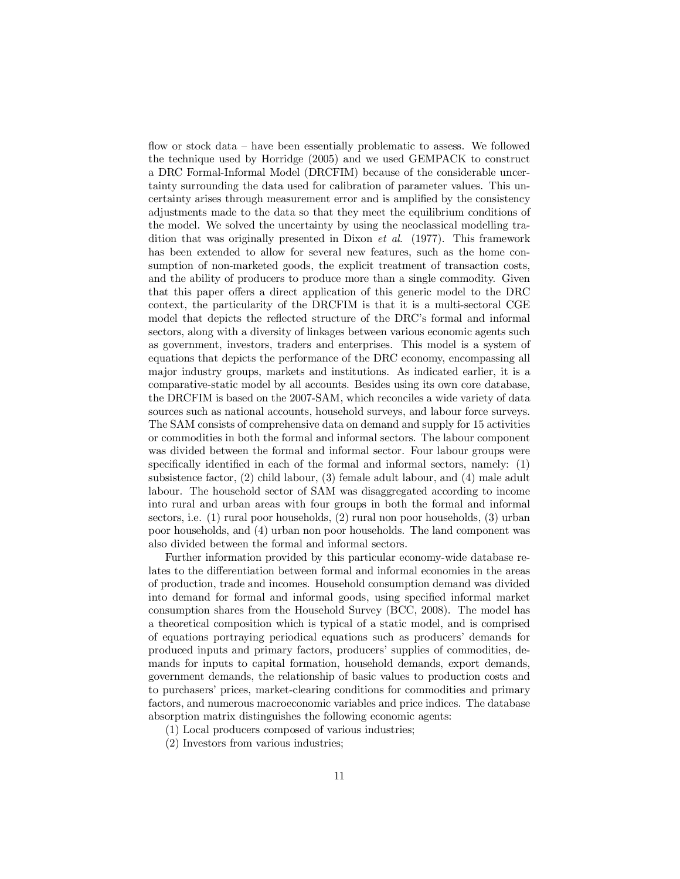flow or stock data – have been essentially problematic to assess. We followed the technique used by Horridge (2005) and we used GEMPACK to construct a DRC Formal-Informal Model (DRCFIM) because of the considerable uncertainty surrounding the data used for calibration of parameter values. This uncertainty arises through measurement error and is amplified by the consistency adjustments made to the data so that they meet the equilibrium conditions of the model. We solved the uncertainty by using the neoclassical modelling tradition that was originally presented in Dixon *et al.* (1977). This framework has been extended to allow for several new features, such as the home consumption of non-marketed goods, the explicit treatment of transaction costs, and the ability of producers to produce more than a single commodity. Given that this paper offers a direct application of this generic model to the DRC context, the particularity of the DRCFIM is that it is a multi-sectoral CGE model that depicts the reflected structure of the DRC's formal and informal sectors, along with a diversity of linkages between various economic agents such as government, investors, traders and enterprises. This model is a system of equations that depicts the performance of the DRC economy, encompassing all major industry groups, markets and institutions. As indicated earlier, it is a comparative-static model by all accounts. Besides using its own core database, the DRCFIM is based on the 2007-SAM, which reconciles a wide variety of data sources such as national accounts, household surveys, and labour force surveys. The SAM consists of comprehensive data on demand and supply for 15 activities or commodities in both the formal and informal sectors. The labour component was divided between the formal and informal sector. Four labour groups were specifically identified in each of the formal and informal sectors, namely:  $(1)$ subsistence factor, (2) child labour, (3) female adult labour, and (4) male adult labour. The household sector of SAM was disaggregated according to income into rural and urban areas with four groups in both the formal and informal sectors, i.e. (1) rural poor households, (2) rural non poor households, (3) urban poor households, and (4) urban non poor households. The land component was also divided between the formal and informal sectors.

Further information provided by this particular economy-wide database relates to the differentiation between formal and informal economies in the areas of production, trade and incomes. Household consumption demand was divided into demand for formal and informal goods, using specified informal market consumption shares from the Household Survey (BCC, 2008). The model has a theoretical composition which is typical of a static model, and is comprised of equations portraying periodical equations such as producers' demands for produced inputs and primary factors, producers' supplies of commodities, demands for inputs to capital formation, household demands, export demands, government demands, the relationship of basic values to production costs and to purchasers' prices, market-clearing conditions for commodities and primary factors, and numerous macroeconomic variables and price indices. The database absorption matrix distinguishes the following economic agents:

- (1) Local producers composed of various industries;
- (2) Investors from various industries;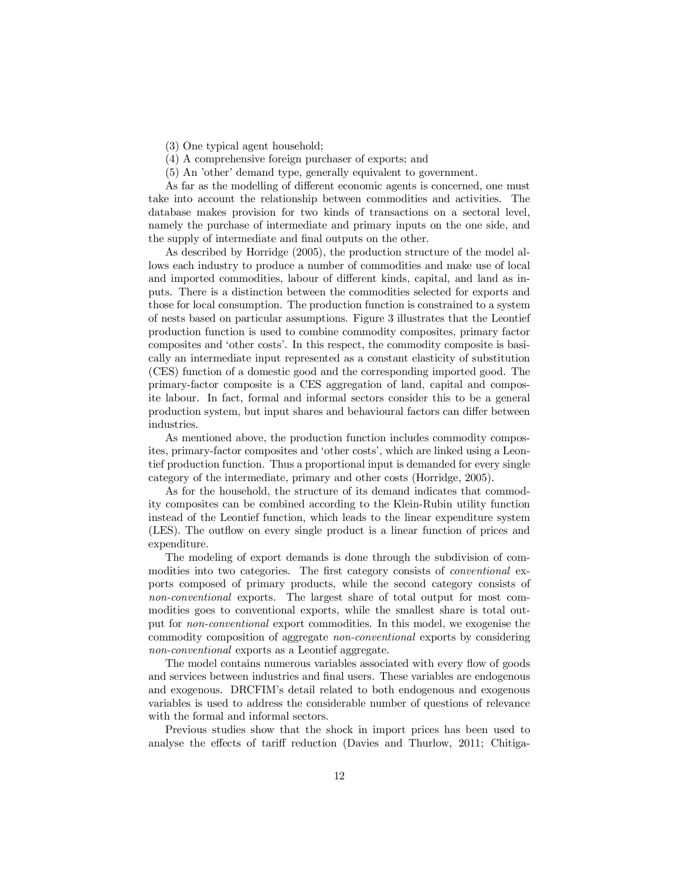- (3) One typical agent household;
- (4) A comprehensive foreign purchaser of exports; and
- (5) An 'other' demand type, generally equivalent to government.

As far as the modelling of different economic agents is concerned, one must take into account the relationship between commodities and activities. The database makes provision for two kinds of transactions on a sectoral level, namely the purchase of intermediate and primary inputs on the one side, and the supply of intermediate and final outputs on the other.

As described by Horridge (2005), the production structure of the model allows each industry to produce a number of commodities and make use of local and imported commodities, labour of different kinds, capital, and land as inputs. There is a distinction between the commodities selected for exports and those for local consumption. The production function is constrained to a system of nests based on particular assumptions. Figure 3 illustrates that the Leontief production function is used to combine commodity composites, primary factor composites and 'other costs'. In this respect, the commodity composite is basically an intermediate input represented as a constant elasticity of substitution (CES) function of a domestic good and the corresponding imported good. The primary-factor composite is a CES aggregation of land, capital and composite labour. In fact, formal and informal sectors consider this to be a general production system, but input shares and behavioural factors can differ between industries.

As mentioned above, the production function includes commodity composites, primary-factor composites and 'other costs', which are linked using a Leontief production function. Thus a proportional input is demanded for every single category of the intermediate, primary and other costs (Horridge, 2005).

As for the household, the structure of its demand indicates that commodity composites can be combined according to the Klein-Rubin utility function instead of the Leontief function, which leads to the linear expenditure system (LES). The outflow on every single product is a linear function of prices and expenditure.

The modeling of export demands is done through the subdivision of commodities into two categories. The first category consists of *conventional* exports composed of primary products, while the second category consists of *non-conventional* exports. The largest share of total output for most commodities goes to conventional exports, while the smallest share is total output for *non-conventional* export commodities. In this model, we exogenise the commodity composition of aggregate *non-conventional* exports by considering *non-conventional* exports as a Leontief aggregate.

The model contains numerous variables associated with every flow of goods and services between industries and final users. These variables are endogenous and exogenous. DRCFIM's detail related to both endogenous and exogenous variables is used to address the considerable number of questions of relevance with the formal and informal sectors.

Previous studies show that the shock in import prices has been used to analyse the effects of tariff reduction (Davies and Thurlow, 2011; Chitiga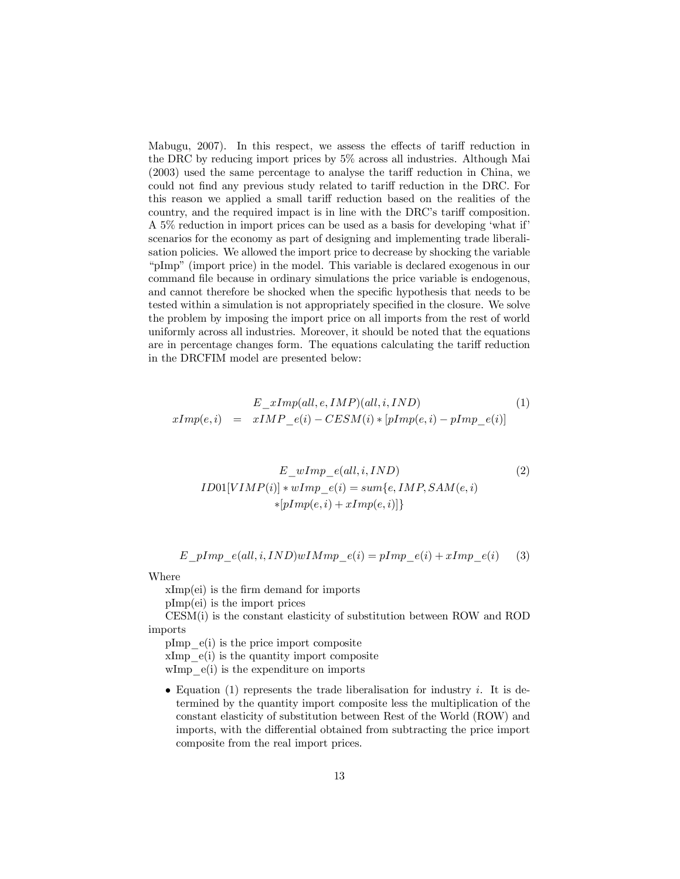Mabugu, 2007). In this respect, we assess the effects of tariff reduction in the DRC by reducing import prices by 5% across all industries. Although Mai  $(2003)$  used the same percentage to analyse the tariff reduction in China, we could not find any previous study related to tariff reduction in the DRC. For this reason we applied a small tariff reduction based on the realities of the country, and the required impact is in line with the DRC's tariff composition. A 5% reduction in import prices can be used as a basis for developing 'what if' scenarios for the economy as part of designing and implementing trade liberalisation policies. We allowed the import price to decrease by shocking the variable "pImp" (import price) in the model. This variable is declared exogenous in our command file because in ordinary simulations the price variable is endogenous, and cannot therefore be shocked when the specific hypothesis that needs to be tested within a simulation is not appropriately specified in the closure. We solve the problem by imposing the import price on all imports from the rest of world uniformly across all industries. Moreover, it should be noted that the equations are in percentage changes form. The equations calculating the tariff reduction in the DRCFIM model are presented below:

$$
E\_xImp(all, e, IMP)(all, i, IND)
$$
  
\n
$$
xImp(e, i) = xIMP\_e(i) - CESM(i) * [pImp(e, i) - pImp\_e(i)]
$$
\n(1)

$$
E\_wImp_e(all, i, IND)
$$
  
\n
$$
ID01[VIMP(i)] * wImp_e(i) = sum\{e, IMP, SAM(e, i)
$$
  
\n
$$
*[pImp(e, i) + xImp(e, i)]\}
$$
\n(2)

$$
E\_pImp_e(all, i, IND) wIMmp_e(i) = pImp_e(i) + xImp_e(i)
$$
 (3)

Where

 $xImp(ei)$  is the firm demand for imports

pImp(ei) is the import prices

CESM(i) is the constant elasticity of substitution between ROW and ROD imports

pImp\_e(i) is the price import composite  $xImp$   $e(i)$  is the quantity import composite wImp  $e(i)$  is the expenditure on imports

• Equation (1) represents the trade liberalisation for industry  $i$ . It is determined by the quantity import composite less the multiplication of the constant elasticity of substitution between Rest of the World (ROW) and imports, with the differential obtained from subtracting the price import composite from the real import prices.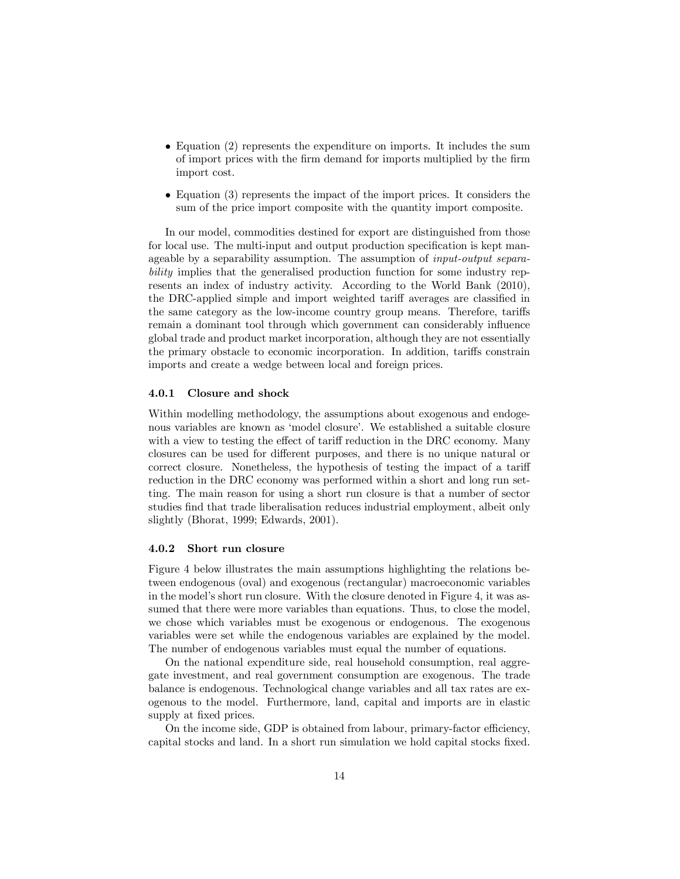- $\bullet$  Equation (2) represents the expenditure on imports. It includes the sum of import prices with the firm demand for imports multiplied by the firm import cost.
- $\bullet$  Equation (3) represents the impact of the import prices. It considers the sum of the price import composite with the quantity import composite.

In our model, commodities destined for export are distinguished from those for local use. The multi-input and output production specification is kept manageable by a separability assumption. The assumption of *input-output separability* implies that the generalised production function for some industry represents an index of industry activity. According to the World Bank (2010), the DRC-applied simple and import weighted tariff averages are classified in the same category as the low-income country group means. Therefore, tariffs remain a dominant tool through which government can considerably influence global trade and product market incorporation, although they are not essentially the primary obstacle to economic incorporation. In addition, tariffs constrain imports and create a wedge between local and foreign prices.

#### 4.0.1 Closure and shock

Within modelling methodology, the assumptions about exogenous and endogenous variables are known as 'model closure'. We established a suitable closure with a view to testing the effect of tariff reduction in the DRC economy. Many closures can be used for different purposes, and there is no unique natural or correct closure. Nonetheless, the hypothesis of testing the impact of a tariff reduction in the DRC economy was performed within a short and long run setting. The main reason for using a short run closure is that a number of sector studies find that trade liberalisation reduces industrial employment, albeit only slightly (Bhorat, 1999; Edwards, 2001).

#### 4.0.2 Short run closure

Figure 4 below illustrates the main assumptions highlighting the relations between endogenous (oval) and exogenous (rectangular) macroeconomic variables in the model's short run closure. With the closure denoted in Figure 4, it was assumed that there were more variables than equations. Thus, to close the model, we chose which variables must be exogenous or endogenous. The exogenous variables were set while the endogenous variables are explained by the model. The number of endogenous variables must equal the number of equations.

On the national expenditure side, real household consumption, real aggregate investment, and real government consumption are exogenous. The trade balance is endogenous. Technological change variables and all tax rates are exogenous to the model. Furthermore, land, capital and imports are in elastic supply at fixed prices.

On the income side, GDP is obtained from labour, primary-factor efficiency, capital stocks and land. In a short run simulation we hold capital stocks fixed.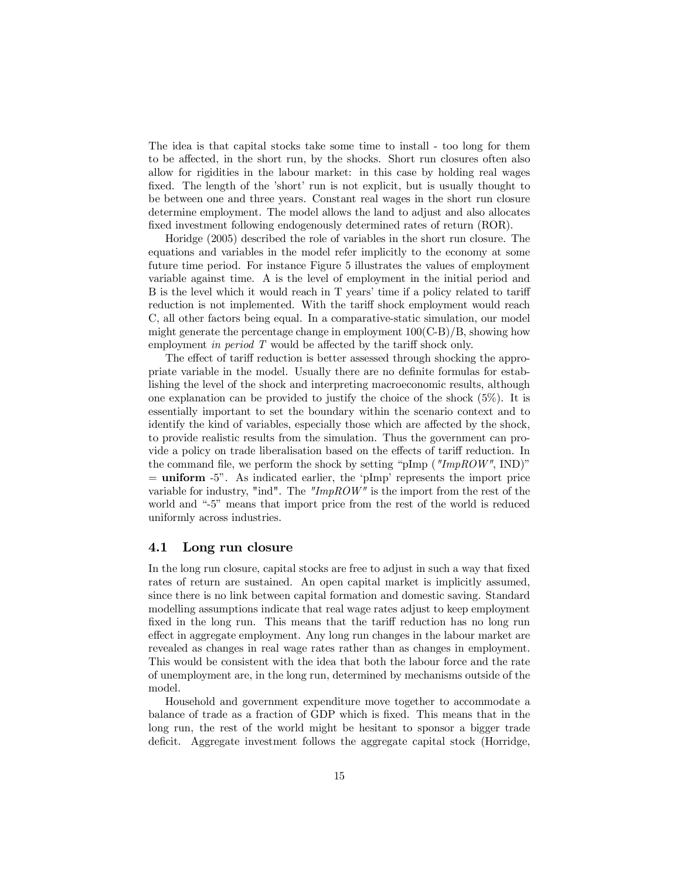The idea is that capital stocks take some time to install - too long for them to be affected, in the short run, by the shocks. Short run closures often also allow for rigidities in the labour market: in this case by holding real wages fixed. The length of the 'short' run is not explicit, but is usually thought to be between one and three years. Constant real wages in the short run closure determine employment. The model allows the land to adjust and also allocates fixed investment following endogenously determined rates of return (ROR).

Horidge (2005) described the role of variables in the short run closure. The equations and variables in the model refer implicitly to the economy at some future time period. For instance Figure 5 illustrates the values of employment variable against time. A is the level of employment in the initial period and B is the level which it would reach in  $T$  years' time if a policy related to tariff reduction is not implemented. With the tariff shock employment would reach C, all other factors being equal. In a comparative-static simulation, our model might generate the percentage change in employment  $100(C-B)/B$ , showing how employment *in period* T would be affected by the tariff shock only.

The effect of tariff reduction is better assessed through shocking the appropriate variable in the model. Usually there are no definite formulas for establishing the level of the shock and interpreting macroeconomic results, although one explanation can be provided to justify the choice of the shock  $(5\%)$ . It is essentially important to set the boundary within the scenario context and to identify the kind of variables, especially those which are affected by the shock, to provide realistic results from the simulation. Thus the government can provide a policy on trade liberalisation based on the effects of tariff reduction. In the command file, we perform the shock by setting "pImp  $($ "ImpROW", IND)"  $=$  uniform  $-5$ ". As indicated earlier, the 'pImp' represents the import price variable for industry, "ind". The *"ImpROW"* is the import from the rest of the world and "-5" means that import price from the rest of the world is reduced uniformly across industries.

#### 4.1 Long run closure

In the long run closure, capital stocks are free to adjust in such a way that fixed rates of return are sustained. An open capital market is implicitly assumed, since there is no link between capital formation and domestic saving. Standard modelling assumptions indicate that real wage rates adjust to keep employment fixed in the long run. This means that the tariff reduction has no long run effect in aggregate employment. Any long run changes in the labour market are revealed as changes in real wage rates rather than as changes in employment. This would be consistent with the idea that both the labour force and the rate of unemployment are, in the long run, determined by mechanisms outside of the model.

Household and government expenditure move together to accommodate a balance of trade as a fraction of GDP which is fixed. This means that in the long run, the rest of the world might be hesitant to sponsor a bigger trade deficit. Aggregate investment follows the aggregate capital stock (Horridge,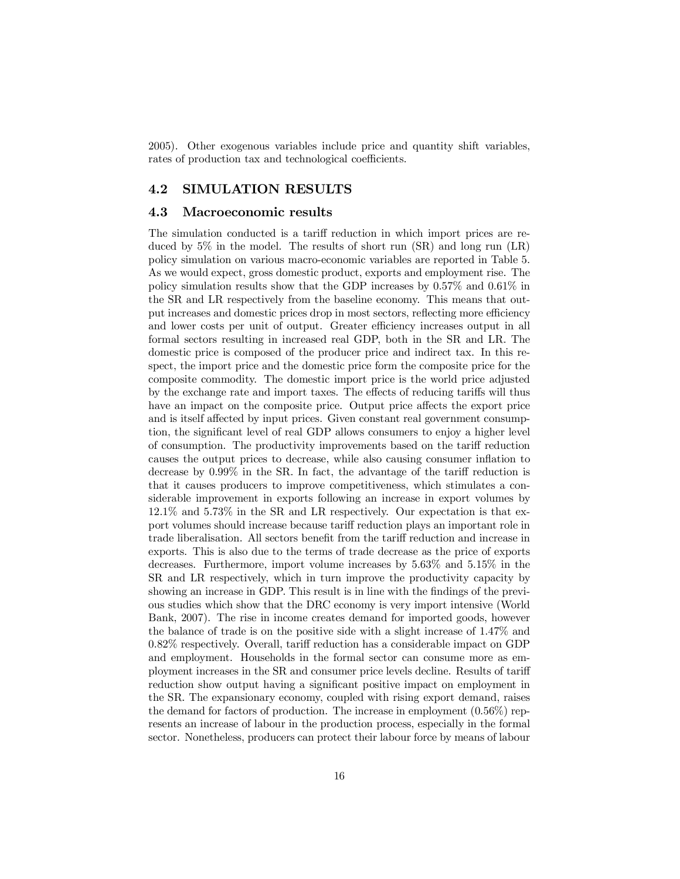2005). Other exogenous variables include price and quantity shift variables, rates of production tax and technological coefficients.

### 4.2 SIMULATION RESULTS

#### 4.3 Macroeconomic results

The simulation conducted is a tariff reduction in which import prices are reduced by 5% in the model. The results of short run (SR) and long run (LR) policy simulation on various macro-economic variables are reported in Table 5. As we would expect, gross domestic product, exports and employment rise. The policy simulation results show that the GDP increases by 0.57% and 0.61% in the SR and LR respectively from the baseline economy. This means that output increases and domestic prices drop in most sectors, reflecting more efficiency and lower costs per unit of output. Greater efficiency increases output in all formal sectors resulting in increased real GDP, both in the SR and LR. The domestic price is composed of the producer price and indirect tax. In this respect, the import price and the domestic price form the composite price for the composite commodity. The domestic import price is the world price adjusted by the exchange rate and import taxes. The effects of reducing tariffs will thus have an impact on the composite price. Output price affects the export price and is itself affected by input prices. Given constant real government consumption, the significant level of real GDP allows consumers to enjoy a higher level of consumption. The productivity improvements based on the tariff reduction causes the output prices to decrease, while also causing consumer in‡ation to decrease by  $0.99\%$  in the SR. In fact, the advantage of the tariff reduction is that it causes producers to improve competitiveness, which stimulates a considerable improvement in exports following an increase in export volumes by 12.1% and 5.73% in the SR and LR respectively. Our expectation is that export volumes should increase because tariff reduction plays an important role in trade liberalisation. All sectors benefit from the tariff reduction and increase in exports. This is also due to the terms of trade decrease as the price of exports decreases. Furthermore, import volume increases by 5.63% and 5.15% in the SR and LR respectively, which in turn improve the productivity capacity by showing an increase in GDP. This result is in line with the findings of the previous studies which show that the DRC economy is very import intensive (World Bank, 2007). The rise in income creates demand for imported goods, however the balance of trade is on the positive side with a slight increase of 1.47% and  $0.82\%$  respectively. Overall, tariff reduction has a considerable impact on GDP and employment. Households in the formal sector can consume more as employment increases in the SR and consumer price levels decline. Results of tariff reduction show output having a significant positive impact on employment in the SR. The expansionary economy, coupled with rising export demand, raises the demand for factors of production. The increase in employment  $(0.56\%)$  represents an increase of labour in the production process, especially in the formal sector. Nonetheless, producers can protect their labour force by means of labour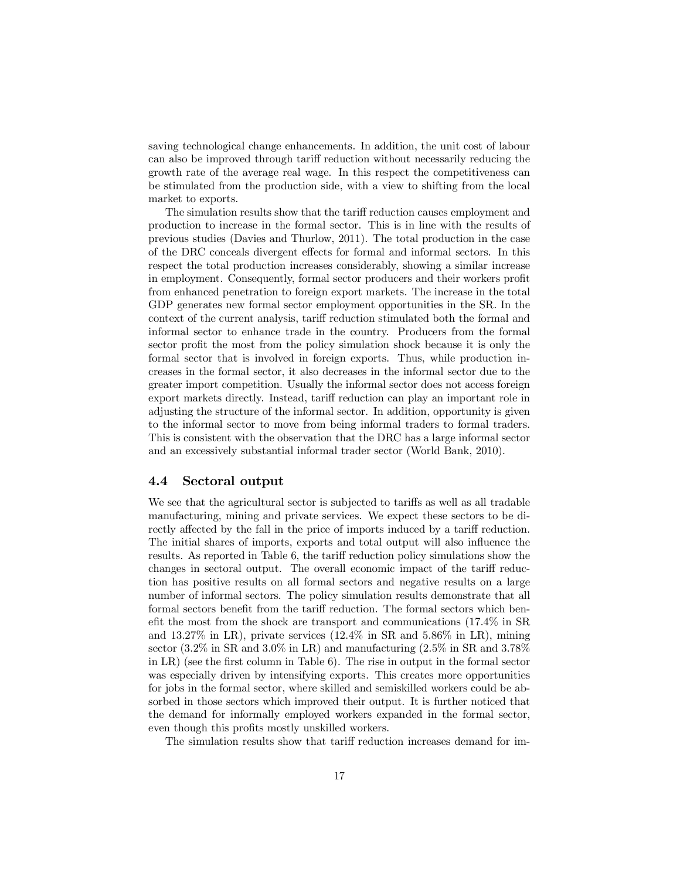saving technological change enhancements. In addition, the unit cost of labour can also be improved through tariff reduction without necessarily reducing the growth rate of the average real wage. In this respect the competitiveness can be stimulated from the production side, with a view to shifting from the local market to exports.

The simulation results show that the tariff reduction causes employment and production to increase in the formal sector. This is in line with the results of previous studies (Davies and Thurlow, 2011). The total production in the case of the DRC conceals divergent effects for formal and informal sectors. In this respect the total production increases considerably, showing a similar increase in employment. Consequently, formal sector producers and their workers profit from enhanced penetration to foreign export markets. The increase in the total GDP generates new formal sector employment opportunities in the SR. In the context of the current analysis, tariff reduction stimulated both the formal and informal sector to enhance trade in the country. Producers from the formal sector profit the most from the policy simulation shock because it is only the formal sector that is involved in foreign exports. Thus, while production increases in the formal sector, it also decreases in the informal sector due to the greater import competition. Usually the informal sector does not access foreign export markets directly. Instead, tariff reduction can play an important role in adjusting the structure of the informal sector. In addition, opportunity is given to the informal sector to move from being informal traders to formal traders. This is consistent with the observation that the DRC has a large informal sector and an excessively substantial informal trader sector (World Bank, 2010).

#### 4.4 Sectoral output

We see that the agricultural sector is subjected to tariffs as well as all tradable manufacturing, mining and private services. We expect these sectors to be directly affected by the fall in the price of imports induced by a tariff reduction. The initial shares of imports, exports and total output will also influence the results. As reported in Table 6, the tariff reduction policy simulations show the changes in sectoral output. The overall economic impact of the tariff reduction has positive results on all formal sectors and negative results on a large number of informal sectors. The policy simulation results demonstrate that all formal sectors benefit from the tariff reduction. The formal sectors which benefit the most from the shock are transport and communications  $(17.4\%$  in SR and  $13.27\%$  in LR), private services  $(12.4\%$  in SR and  $5.86\%$  in LR), mining sector  $(3.2\%$  in SR and  $3.0\%$  in LR) and manufacturing  $(2.5\%$  in SR and  $3.78\%$ in LR) (see the first column in Table 6). The rise in output in the formal sector was especially driven by intensifying exports. This creates more opportunities for jobs in the formal sector, where skilled and semiskilled workers could be absorbed in those sectors which improved their output. It is further noticed that the demand for informally employed workers expanded in the formal sector, even though this profits mostly unskilled workers.

The simulation results show that tariff reduction increases demand for im-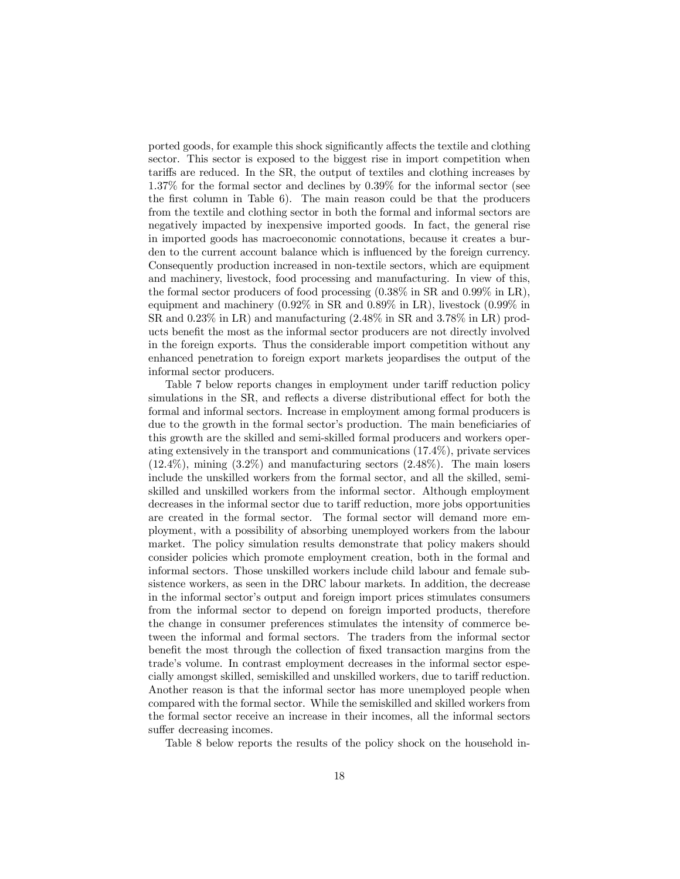ported goods, for example this shock significantly affects the textile and clothing sector. This sector is exposed to the biggest rise in import competition when tariffs are reduced. In the SR, the output of textiles and clothing increases by 1.37% for the formal sector and declines by 0.39% for the informal sector (see the first column in Table  $6$ ). The main reason could be that the producers from the textile and clothing sector in both the formal and informal sectors are negatively impacted by inexpensive imported goods. In fact, the general rise in imported goods has macroeconomic connotations, because it creates a burden to the current account balance which is influenced by the foreign currency. Consequently production increased in non-textile sectors, which are equipment and machinery, livestock, food processing and manufacturing. In view of this, the formal sector producers of food processing (0.38% in SR and 0.99% in LR), equipment and machinery (0.92% in SR and 0.89% in LR), livestock (0.99% in SR and 0.23% in LR) and manufacturing (2.48% in SR and 3.78% in LR) products benefit the most as the informal sector producers are not directly involved in the foreign exports. Thus the considerable import competition without any enhanced penetration to foreign export markets jeopardises the output of the informal sector producers.

Table 7 below reports changes in employment under tariff reduction policy simulations in the SR, and reflects a diverse distributional effect for both the formal and informal sectors. Increase in employment among formal producers is due to the growth in the formal sector's production. The main beneficiaries of this growth are the skilled and semi-skilled formal producers and workers operating extensively in the transport and communications (17.4%), private services  $(12.4\%)$ , mining  $(3.2\%)$  and manufacturing sectors  $(2.48\%)$ . The main losers include the unskilled workers from the formal sector, and all the skilled, semiskilled and unskilled workers from the informal sector. Although employment decreases in the informal sector due to tariff reduction, more jobs opportunities are created in the formal sector. The formal sector will demand more employment, with a possibility of absorbing unemployed workers from the labour market. The policy simulation results demonstrate that policy makers should consider policies which promote employment creation, both in the formal and informal sectors. Those unskilled workers include child labour and female subsistence workers, as seen in the DRC labour markets. In addition, the decrease in the informal sector's output and foreign import prices stimulates consumers from the informal sector to depend on foreign imported products, therefore the change in consumer preferences stimulates the intensity of commerce between the informal and formal sectors. The traders from the informal sector bene fit the most through the collection of fixed transaction margins from the trade's volume. In contrast employment decreases in the informal sector especially amongst skilled, semiskilled and unskilled workers, due to tariff reduction. Another reason is that the informal sector has more unemployed people when compared with the formal sector. While the semiskilled and skilled workers from the formal sector receive an increase in their incomes, all the informal sectors suffer decreasing incomes.

Table 8 below reports the results of the policy shock on the household in-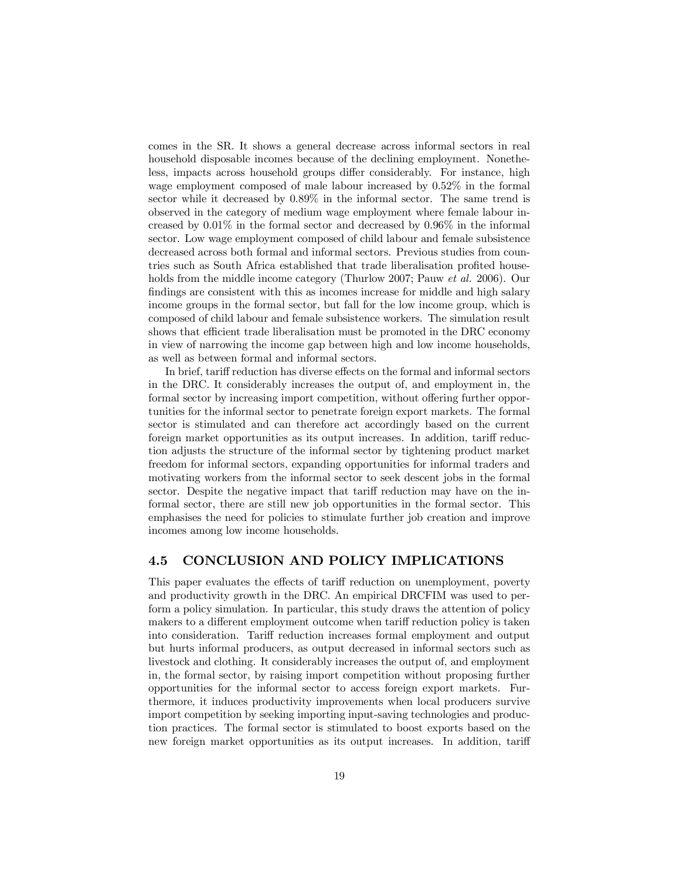comes in the SR. It shows a general decrease across informal sectors in real household disposable incomes because of the declining employment. Nonetheless, impacts across household groups differ considerably. For instance, high wage employment composed of male labour increased by 0.52% in the formal sector while it decreased by 0.89% in the informal sector. The same trend is observed in the category of medium wage employment where female labour increased by 0.01% in the formal sector and decreased by 0.96% in the informal sector. Low wage employment composed of child labour and female subsistence decreased across both formal and informal sectors. Previous studies from countries such as South Africa established that trade liberalisation profited households from the middle income category (Thurlow 2007; Pauw *et al.* 2006). Our findings are consistent with this as incomes increase for middle and high salary income groups in the formal sector, but fall for the low income group, which is composed of child labour and female subsistence workers. The simulation result shows that efficient trade liberalisation must be promoted in the DRC economy in view of narrowing the income gap between high and low income households, as well as between formal and informal sectors.

In brief, tariff reduction has diverse effects on the formal and informal sectors in the DRC. It considerably increases the output of, and employment in, the formal sector by increasing import competition, without offering further opportunities for the informal sector to penetrate foreign export markets. The formal sector is stimulated and can therefore act accordingly based on the current foreign market opportunities as its output increases. In addition, tariff reduction adjusts the structure of the informal sector by tightening product market freedom for informal sectors, expanding opportunities for informal traders and motivating workers from the informal sector to seek descent jobs in the formal sector. Despite the negative impact that tariff reduction may have on the informal sector, there are still new job opportunities in the formal sector. This emphasises the need for policies to stimulate further job creation and improve incomes among low income households.

### 4.5 CONCLUSION AND POLICY IMPLICATIONS

This paper evaluates the effects of tariff reduction on unemployment, poverty and productivity growth in the DRC. An empirical DRCFIM was used to perform a policy simulation. In particular, this study draws the attention of policy makers to a different employment outcome when tariff reduction policy is taken into consideration. Tariff reduction increases formal employment and output but hurts informal producers, as output decreased in informal sectors such as livestock and clothing. It considerably increases the output of, and employment in, the formal sector, by raising import competition without proposing further opportunities for the informal sector to access foreign export markets. Furthermore, it induces productivity improvements when local producers survive import competition by seeking importing input-saving technologies and production practices. The formal sector is stimulated to boost exports based on the new foreign market opportunities as its output increases. In addition, tariff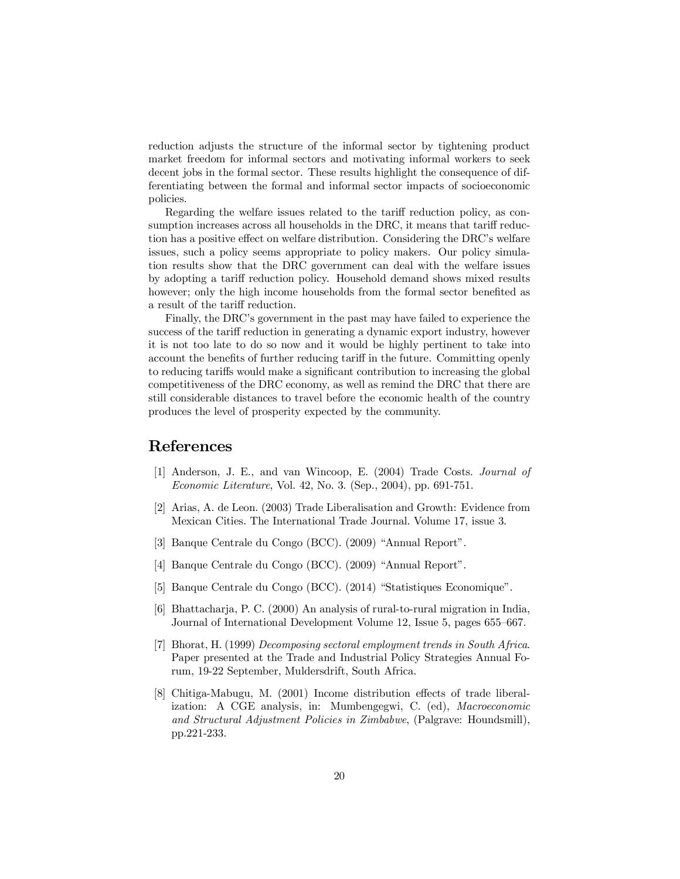reduction adjusts the structure of the informal sector by tightening product market freedom for informal sectors and motivating informal workers to seek decent jobs in the formal sector. These results highlight the consequence of differentiating between the formal and informal sector impacts of socioeconomic policies.

Regarding the welfare issues related to the tariff reduction policy, as consumption increases across all households in the DRC, it means that tariff reduction has a positive effect on welfare distribution. Considering the DRC's welfare issues, such a policy seems appropriate to policy makers. Our policy simulation results show that the DRC government can deal with the welfare issues by adopting a tariff reduction policy. Household demand shows mixed results however; only the high income households from the formal sector benefited as a result of the tariff reduction.

Finally, the DRC's government in the past may have failed to experience the success of the tariff reduction in generating a dynamic export industry, however it is not too late to do so now and it would be highly pertinent to take into account the benefits of further reducing tariff in the future. Committing openly to reducing tariffs would make a significant contribution to increasing the global competitiveness of the DRC economy, as well as remind the DRC that there are still considerable distances to travel before the economic health of the country produces the level of prosperity expected by the community.

## References

- [1] Anderson, J. E., and van Wincoop, E. (2004) Trade Costs. *Journal of Economic Literature*, Vol. 42, No. 3. (Sep., 2004), pp. 691-751.
- [2] Arias, A. de Leon. (2003) Trade Liberalisation and Growth: Evidence from Mexican Cities. The International Trade Journal. Volume 17, issue 3.
- [3] Banque Centrale du Congo (BCC). (2009) "Annual Report".
- [4] Banque Centrale du Congo (BCC). (2009) "Annual Report".
- [5] Banque Centrale du Congo (BCC). (2014) "Statistiques Economique".
- [6] Bhattacharja, P. C. (2000) An analysis of rural-to-rural migration in India, Journal of International Development Volume 12, Issue 5, pages 655–667.
- [7] Bhorat, H. (1999) *Decomposing sectoral employment trends in South Africa*. Paper presented at the Trade and Industrial Policy Strategies Annual Forum, 19-22 September, Muldersdrift, South Africa.
- [8] Chitiga-Mabugu, M. (2001) Income distribution effects of trade liberalization: A CGE analysis, in: Mumbengegwi, C. (ed), *Macroeconomic and Structural Adjustment Policies in Zimbabwe*, (Palgrave: Houndsmill), pp.221-233.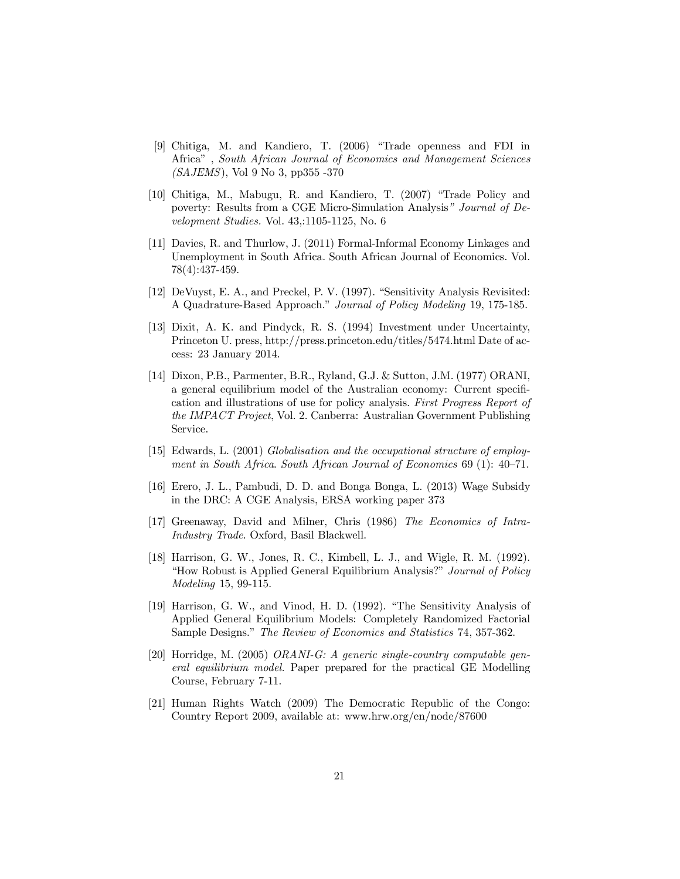- [9] Chitiga, M. and Kandiero, T. (2006) "Trade openness and FDI in Africa" , *South African Journal of Economics and Management Sciences (SAJEMS*), Vol 9 No 3, pp355 -370
- [10] Chitiga, M., Mabugu, R. and Kandiero, T. (2007) "Trade Policy and poverty: Results from a CGE Micro-Simulation Analysis" *Journal of Development Studies.* Vol. 43,:1105-1125, No. 6
- [11] Davies, R. and Thurlow, J. (2011) Formal-Informal Economy Linkages and Unemployment in South Africa. South African Journal of Economics. Vol. 78(4):437-459.
- [12] DeVuyst, E. A., and Preckel, P. V. (1997). "Sensitivity Analysis Revisited: A Quadrature-Based Approach." *Journal of Policy Modeling* 19, 175-185.
- [13] Dixit, A. K. and Pindyck, R. S. (1994) Investment under Uncertainty, Princeton U. press, http://press.princeton.edu/titles/5474.html Date of access: 23 January 2014.
- [14] Dixon, P.B., Parmenter, B.R., Ryland, G.J. & Sutton, J.M. (1977) ORANI, a general equilibrium model of the Australian economy: Current specification and illustrations of use for policy analysis. *First Progress Report of the IMPACT Project*, Vol. 2. Canberra: Australian Government Publishing Service.
- [15] Edwards, L. (2001) *Globalisation and the occupational structure of employment in South Africa*. *South African Journal of Economics* 69 (1): 40–71.
- [16] Erero, J. L., Pambudi, D. D. and Bonga Bonga, L. (2013) Wage Subsidy in the DRC: A CGE Analysis, ERSA working paper 373
- [17] Greenaway, David and Milner, Chris (1986) *The Economics of Intra-Industry Trade*. Oxford, Basil Blackwell.
- [18] Harrison, G. W., Jones, R. C., Kimbell, L. J., and Wigle, R. M. (1992). "How Robust is Applied General Equilibrium Analysis?" *Journal of Policy Modeling* 15, 99-115.
- [19] Harrison, G. W., and Vinod, H. D. (1992). "The Sensitivity Analysis of Applied General Equilibrium Models: Completely Randomized Factorial Sample Designs." *The Review of Economics and Statistics* 74, 357-362.
- [20] Horridge, M. (2005) *ORANI-G: A generic single-country computable general equilibrium model.* Paper prepared for the practical GE Modelling Course, February 7-11.
- [21] Human Rights Watch (2009) The Democratic Republic of the Congo: Country Report 2009, available at: www.hrw.org/en/node/87600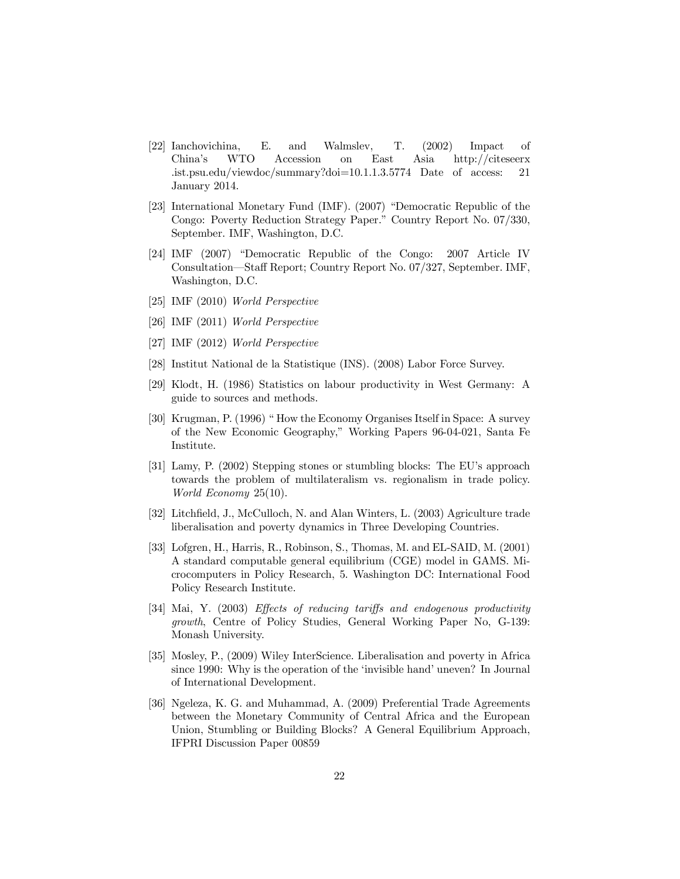- [22] Ianchovichina, E. and Walmslev, T. (2002) Impact of China's WTO Accession on East Asia http://citeseerx .ist.psu.edu/viewdoc/summary?doi=10.1.1.3.5774 Date of access: 21 January 2014.
- [23] International Monetary Fund (IMF). (2007) "Democratic Republic of the Congo: Poverty Reduction Strategy Paper." Country Report No. 07/330, September. IMF, Washington, D.C.
- [24] IMF (2007) "Democratic Republic of the Congo: 2007 Article IV Consultation—Sta¤ Report; Country Report No. 07/327, September. IMF, Washington, D.C.
- [25] IMF (2010) *World Perspective*
- [26] IMF (2011) *World Perspective*
- [27] IMF (2012) *World Perspective*
- [28] Institut National de la Statistique (INS). (2008) Labor Force Survey.
- [29] Klodt, H. (1986) Statistics on labour productivity in West Germany: A guide to sources and methods.
- [30] Krugman, P. (1996) " How the Economy Organises Itself in Space: A survey of the New Economic Geography," Working Papers 96-04-021, Santa Fe Institute.
- [31] Lamy, P. (2002) Stepping stones or stumbling blocks: The EU's approach towards the problem of multilateralism vs. regionalism in trade policy. *World Economy* 25(10).
- [32] Litchfield, J., McCulloch, N. and Alan Winters, L. (2003) Agriculture trade liberalisation and poverty dynamics in Three Developing Countries.
- [33] Lofgren, H., Harris, R., Robinson, S., Thomas, M. and EL-SAID, M. (2001) A standard computable general equilibrium (CGE) model in GAMS. Microcomputers in Policy Research, 5. Washington DC: International Food Policy Research Institute.
- [34] Mai, Y. (2003) *Effects* of *reducing tariffs* and *endogenous* productivity *growth*, Centre of Policy Studies, General Working Paper No, G-139: Monash University.
- [35] Mosley, P., (2009) Wiley InterScience. Liberalisation and poverty in Africa since 1990: Why is the operation of the 'invisible hand' uneven? In Journal of International Development.
- [36] Ngeleza, K. G. and Muhammad, A. (2009) Preferential Trade Agreements between the Monetary Community of Central Africa and the European Union, Stumbling or Building Blocks? A General Equilibrium Approach, IFPRI Discussion Paper 00859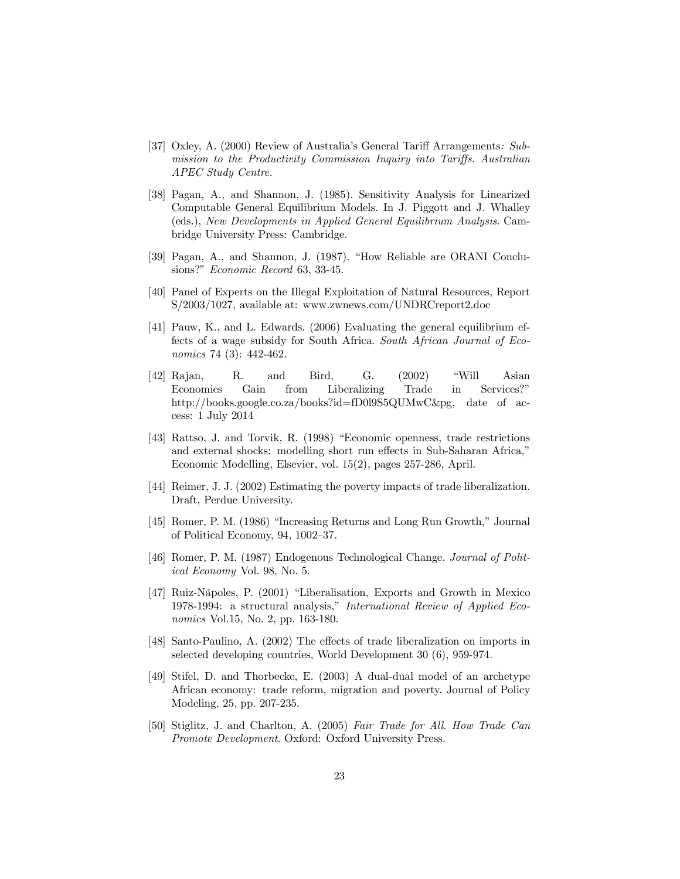- [37] Oxley, A. (2000) Review of Australia's General Tariff Arrangements: Sub*mission to the Productivity Commission Inquiry into Tariffs. Australian APEC Study Centre.*
- [38] Pagan, A., and Shannon, J. (1985). Sensitivity Analysis for Linearized Computable General Equilibrium Models. In J. Piggott and J. Whalley (eds.), *New Developments in Applied General Equilibrium Analysis*. Cambridge University Press: Cambridge.
- [39] Pagan, A., and Shannon, J. (1987). "How Reliable are ORANI Conclusions?" *Economic Record* 63, 33-45.
- [40] Panel of Experts on the Illegal Exploitation of Natural Resources, Report S/2003/1027, available at: www.zwnews.com/UNDRCreport2.doc
- [41] Pauw, K., and L. Edwards. (2006) Evaluating the general equilibrium effects of a wage subsidy for South Africa. *South African Journal of Economics* 74 (3): 442-462.
- [42] Rajan, R. and Bird, G. (2002) "Will Asian Economies Gain from Liberalizing Trade in Services?" http://books.google.co.za/books?id=fD0l9S5QUMwC&pg, date of access: 1 July 2014
- [43] Rattso, J. and Torvik, R. (1998) "Economic openness, trade restrictions and external shocks: modelling short run effects in Sub-Saharan Africa," Economic Modelling, Elsevier, vol. 15(2), pages 257-286, April.
- [44] Reimer, J. J. (2002) Estimating the poverty impacts of trade liberalization. Draft, Perdue University.
- [45] Romer, P. M. (1986) "Increasing Returns and Long Run Growth," Journal of Political Economy, 94, 1002–37.
- [46] Romer, P. M. (1987) Endogenous Technological Change. *Journal of Political Economy* Vol. 98, No. 5.
- [47] Ruiz-Nápoles, P. (2001) "Liberalisation, Exports and Growth in Mexico 1978-1994: a structural analysis," *International Review of Applied Economics* Vol.15, No. 2, pp. 163-180.
- [48] Santo-Paulino, A. (2002) The effects of trade liberalization on imports in selected developing countries, World Development 30 (6), 959-974.
- [49] Stifel, D. and Thorbecke, E. (2003) A dual-dual model of an archetype African economy: trade reform, migration and poverty. Journal of Policy Modeling, 25, pp. 207-235.
- [50] Stiglitz, J. and Charlton, A. (2005) *Fair Trade for All. How Trade Can Promote Development*. Oxford: Oxford University Press.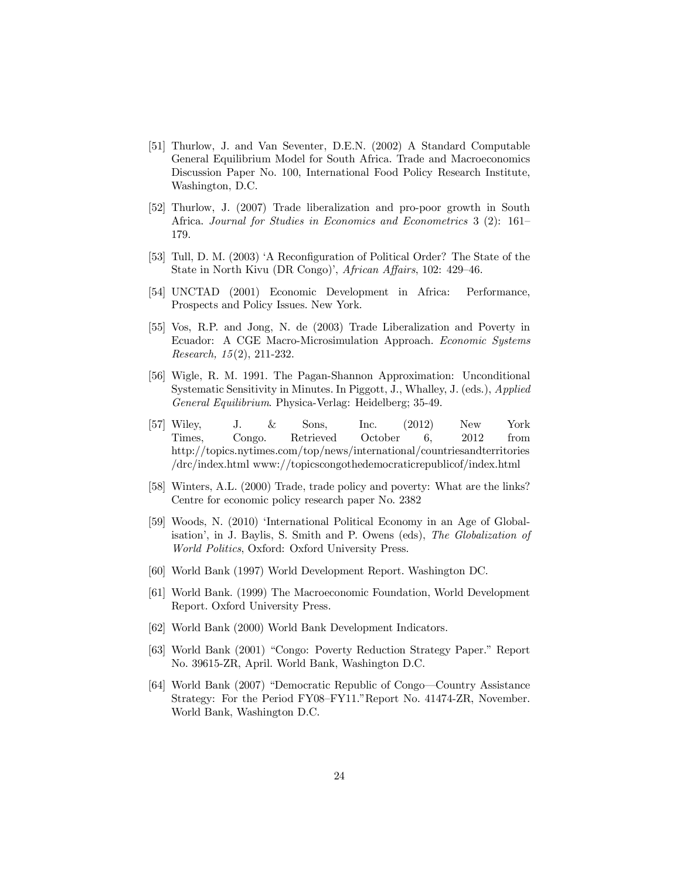- [51] Thurlow, J. and Van Seventer, D.E.N. (2002) A Standard Computable General Equilibrium Model for South Africa. Trade and Macroeconomics Discussion Paper No. 100, International Food Policy Research Institute, Washington, D.C.
- [52] Thurlow, J. (2007) Trade liberalization and pro-poor growth in South Africa. *Journal for Studies in Economics and Econometrics* 3 (2): 161– 179.
- [53] Tull, D. M. (2003) 'A Reconfiguration of Political Order? The State of the State in North Kivu (DR Congo)', *African Affairs*, 102: 429-46.
- [54] UNCTAD (2001) Economic Development in Africa: Performance, Prospects and Policy Issues. New York.
- [55] Vos, R.P. and Jong, N. de (2003) Trade Liberalization and Poverty in Ecuador: A CGE Macro-Microsimulation Approach. *Economic Systems Research, 15*(2), 211-232.
- [56] Wigle, R. M. 1991. The Pagan-Shannon Approximation: Unconditional Systematic Sensitivity in Minutes. In Piggott, J., Whalley, J. (eds.), *Applied General Equilibrium*. Physica-Verlag: Heidelberg; 35-49.
- [57] Wiley, J. & Sons, Inc. (2012) New York Times, Congo. Retrieved October 6, 2012 from http://topics.nytimes.com/top/news/international/countriesandterritories /drc/index.html www://topicscongothedemocraticrepublicof/index.html
- [58] Winters, A.L. (2000) Trade, trade policy and poverty: What are the links? Centre for economic policy research paper No. 2382
- [59] Woods, N. (2010) 'International Political Economy in an Age of Globalisation', in J. Baylis, S. Smith and P. Owens (eds), *The Globalization of World Politics*, Oxford: Oxford University Press.
- [60] World Bank (1997) World Development Report. Washington DC.
- [61] World Bank. (1999) The Macroeconomic Foundation, World Development Report. Oxford University Press.
- [62] World Bank (2000) World Bank Development Indicators.
- [63] World Bank (2001) "Congo: Poverty Reduction Strategy Paper." Report No. 39615-ZR, April. World Bank, Washington D.C.
- [64] World Bank (2007) "Democratic Republic of Congo—Country Assistance Strategy: For the Period FY08–FY11."Report No. 41474-ZR, November. World Bank, Washington D.C.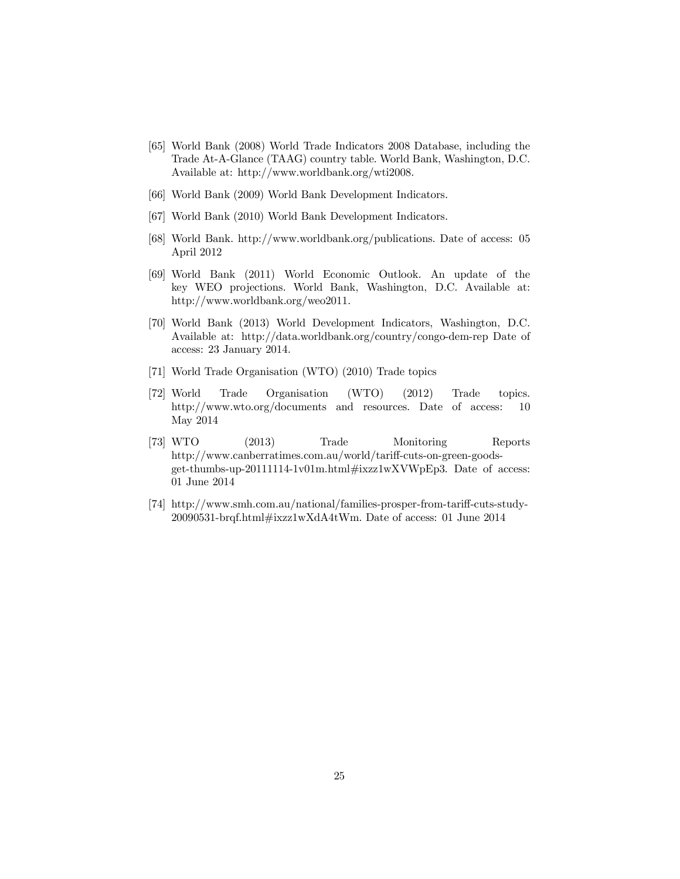- [65] World Bank (2008) World Trade Indicators 2008 Database, including the Trade At-A-Glance (TAAG) country table. World Bank, Washington, D.C. Available at: http://www.worldbank.org/wti2008.
- [66] World Bank (2009) World Bank Development Indicators.
- [67] World Bank (2010) World Bank Development Indicators.
- [68] World Bank. http://www.worldbank.org/publications. Date of access: 05 April 2012
- [69] World Bank (2011) World Economic Outlook. An update of the key WEO projections. World Bank, Washington, D.C. Available at: http://www.worldbank.org/weo2011.
- [70] World Bank (2013) World Development Indicators, Washington, D.C. Available at: http://data.worldbank.org/country/congo-dem-rep Date of access: 23 January 2014.
- [71] World Trade Organisation (WTO) (2010) Trade topics
- [72] World Trade Organisation (WTO) (2012) Trade topics. http://www.wto.org/documents and resources. Date of access: 10 May 2014
- [73] WTO (2013) Trade Monitoring Reports http://www.canberratimes.com.au/world/tariff-cuts-on-green-goodsget-thumbs-up-20111114-1v01m.html#ixzz1wXVWpEp3. Date of access: 01 June 2014
- [74] http://www.smh.com.au/national/families-prosper-from-tariff-cuts-study-20090531-brqf.html#ixzz1wXdA4tWm. Date of access: 01 June 2014